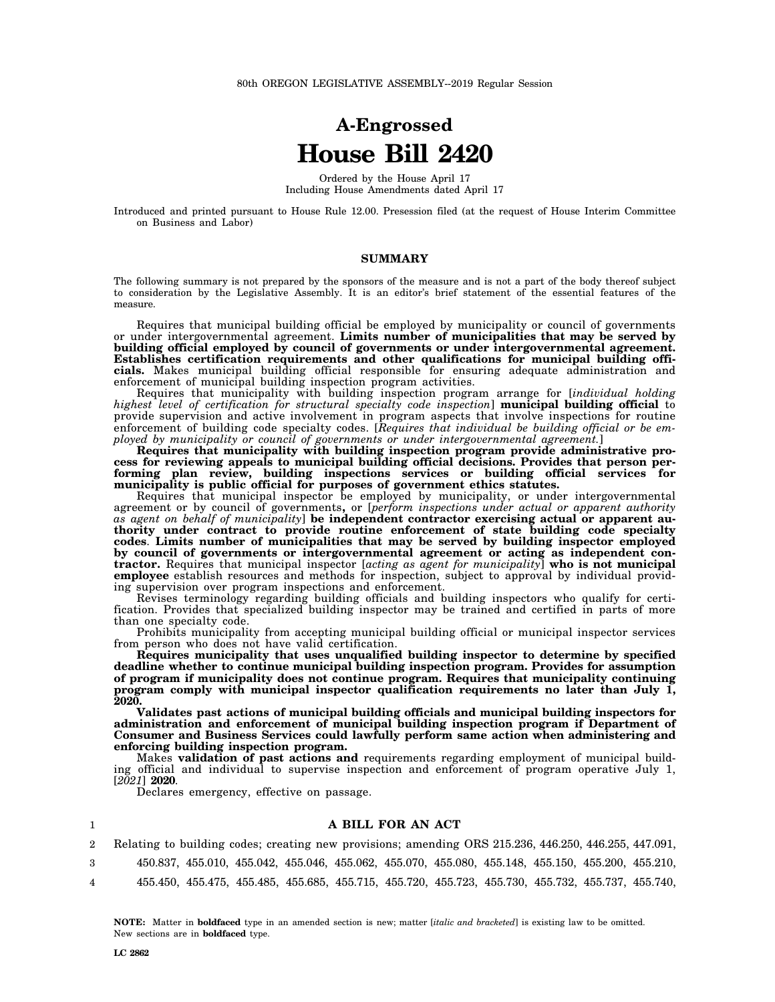# **A-Engrossed House Bill 2420**

Ordered by the House April 17 Including House Amendments dated April 17

Introduced and printed pursuant to House Rule 12.00. Presession filed (at the request of House Interim Committee on Business and Labor)

## **SUMMARY**

The following summary is not prepared by the sponsors of the measure and is not a part of the body thereof subject to consideration by the Legislative Assembly. It is an editor's brief statement of the essential features of the measure.

Requires that municipal building official be employed by municipality or council of governments or under intergovernmental agreement. **Limits number of municipalities that may be served by building official employed by council of governments or under intergovernmental agreement. Establishes certification requirements and other qualifications for municipal building officials.** Makes municipal building official responsible for ensuring adequate administration and enforcement of municipal building inspection program activities.

Requires that municipality with building inspection program arrange for [*individual holding highest level of certification for structural specialty code inspection*] **municipal building official** to provide supervision and active involvement in program aspects that involve inspections for routine enforcement of building code specialty codes. [*Requires that individual be building official or be employed by municipality or council of governments or under intergovernmental agreement.*]

**Requires that municipality with building inspection program provide administrative process for reviewing appeals to municipal building official decisions. Provides that person performing plan review, building inspections services or building official services for municipality is public official for purposes of government ethics statutes.**

Requires that municipal inspector be employed by municipality, or under intergovernmental agreement or by council of governments**,** or [*perform inspections under actual or apparent authority as agent on behalf of municipality*] **be independent contractor exercising actual or apparent authority under contract to provide routine enforcement of state building code specialty codes**. **Limits number of municipalities that may be served by building inspector employed by council of governments or intergovernmental agreement or acting as independent contractor.** Requires that municipal inspector [*acting as agent for municipality*] **who is not municipal employee** establish resources and methods for inspection, subject to approval by individual providing supervision over program inspections and enforcement.

Revises terminology regarding building officials and building inspectors who qualify for certification. Provides that specialized building inspector may be trained and certified in parts of more than one specialty code.

Prohibits municipality from accepting municipal building official or municipal inspector services from person who does not have valid certification.

**Requires municipality that uses unqualified building inspector to determine by specified deadline whether to continue municipal building inspection program. Provides for assumption of program if municipality does not continue program. Requires that municipality continuing program comply with municipal inspector qualification requirements no later than July 1, 2020.**

**Validates past actions of municipal building officials and municipal building inspectors for administration and enforcement of municipal building inspection program if Department of Consumer and Business Services could lawfully perform same action when administering and enforcing building inspection program.**

Makes **validation of past actions and** requirements regarding employment of municipal building official and individual to supervise inspection and enforcement of program operative July 1, [*2021*] **2020**.

Declares emergency, effective on passage.

#### **A BILL FOR AN ACT**

2 Relating to building codes; creating new provisions; amending ORS 215.236, 446.250, 446.255, 447.091,

450.837, 455.010, 455.042, 455.046, 455.062, 455.070, 455.080, 455.148, 455.150, 455.200, 455.210,

4 455.450, 455.475, 455.485, 455.685, 455.715, 455.720, 455.723, 455.730, 455.732, 455.737, 455.740,

**NOTE:** Matter in **boldfaced** type in an amended section is new; matter [*italic and bracketed*] is existing law to be omitted. New sections are in **boldfaced** type.

1

3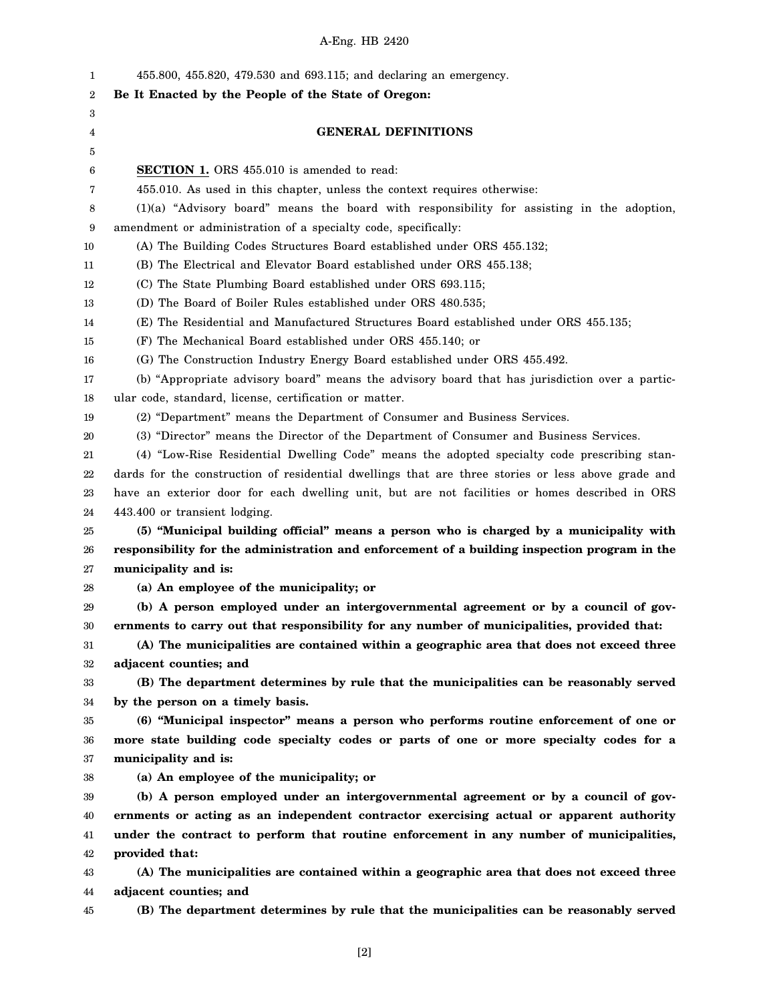| 1  | 455.800, 455.820, 479.530 and 693.115; and declaring an emergency.                                 |
|----|----------------------------------------------------------------------------------------------------|
| 2  | Be It Enacted by the People of the State of Oregon:                                                |
| 3  |                                                                                                    |
| 4  | <b>GENERAL DEFINITIONS</b>                                                                         |
| 5  |                                                                                                    |
| 6  | <b>SECTION 1.</b> ORS 455.010 is amended to read:                                                  |
| 7  | 455.010. As used in this chapter, unless the context requires otherwise:                           |
| 8  | $(1)(a)$ "Advisory board" means the board with responsibility for assisting in the adoption,       |
| 9  | amendment or administration of a specialty code, specifically:                                     |
| 10 | (A) The Building Codes Structures Board established under ORS 455.132;                             |
| 11 | (B) The Electrical and Elevator Board established under ORS 455.138;                               |
| 12 | (C) The State Plumbing Board established under ORS 693.115;                                        |
| 13 | (D) The Board of Boiler Rules established under ORS 480.535;                                       |
| 14 | (E) The Residential and Manufactured Structures Board established under ORS 455.135;               |
| 15 | (F) The Mechanical Board established under ORS 455.140; or                                         |
| 16 | (G) The Construction Industry Energy Board established under ORS 455.492.                          |
| 17 | (b) "Appropriate advisory board" means the advisory board that has jurisdiction over a partic-     |
| 18 | ular code, standard, license, certification or matter.                                             |
| 19 | (2) "Department" means the Department of Consumer and Business Services.                           |
| 20 | (3) "Director" means the Director of the Department of Consumer and Business Services.             |
| 21 | (4) "Low-Rise Residential Dwelling Code" means the adopted specialty code prescribing stan-        |
| 22 | dards for the construction of residential dwellings that are three stories or less above grade and |
| 23 | have an exterior door for each dwelling unit, but are not facilities or homes described in ORS     |
| 24 | 443.400 or transient lodging.                                                                      |
| 25 | (5) "Municipal building official" means a person who is charged by a municipality with             |
| 26 | responsibility for the administration and enforcement of a building inspection program in the      |
| 27 | municipality and is:                                                                               |
| 28 | (a) An employee of the municipality; or                                                            |
| 29 | (b) A person employed under an intergovernmental agreement or by a council of gov-                 |
| 30 | ernments to carry out that responsibility for any number of municipalities, provided that:         |
| 31 | (A) The municipalities are contained within a geographic area that does not exceed three           |
| 32 | adjacent counties; and                                                                             |
| 33 | (B) The department determines by rule that the municipalities can be reasonably served             |
| 34 | by the person on a timely basis.                                                                   |
| 35 | (6) "Municipal inspector" means a person who performs routine enforcement of one or                |
| 36 | more state building code specialty codes or parts of one or more specialty codes for a             |
| 37 | municipality and is:                                                                               |
| 38 | (a) An employee of the municipality; or                                                            |
| 39 | (b) A person employed under an intergovernmental agreement or by a council of gov-                 |
| 40 | ernments or acting as an independent contractor exercising actual or apparent authority            |
| 41 | under the contract to perform that routine enforcement in any number of municipalities,            |
| 42 | provided that:                                                                                     |
| 43 | (A) The municipalities are contained within a geographic area that does not exceed three           |
| 44 | adjacent counties; and                                                                             |
| 45 | (B) The department determines by rule that the municipalities can be reasonably served             |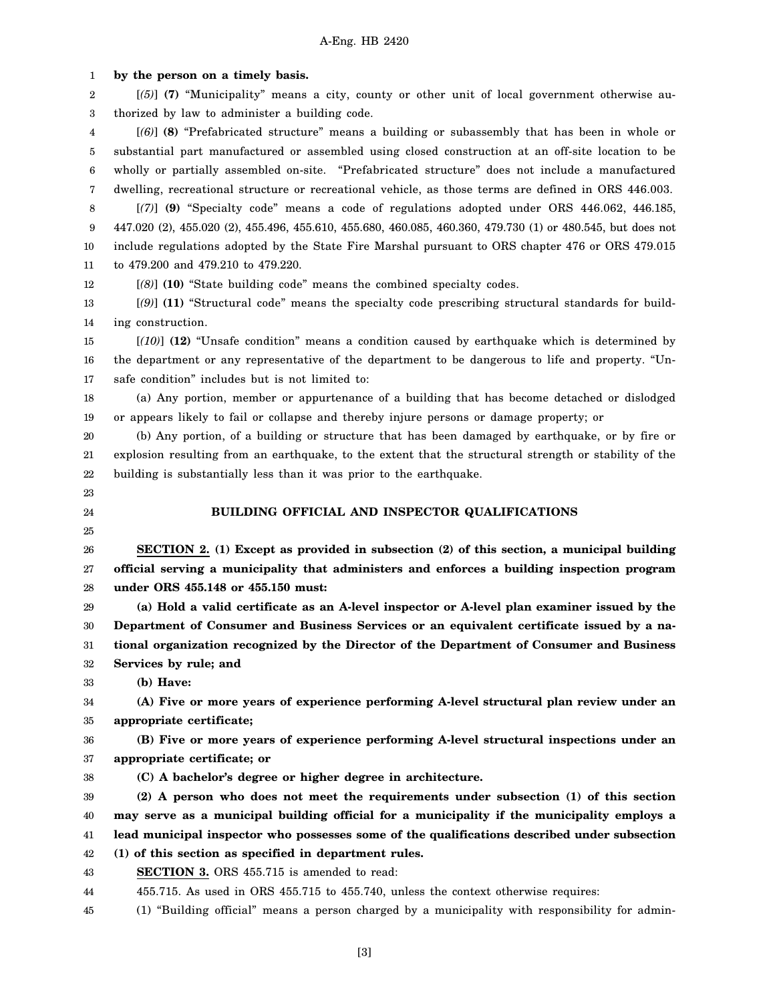1 2 3 4 5 6 7 8 9 10 11 12 13 14 15 16 17 18 19 20 21 22 23 24 25 26 27 28 29 30 31 32 33 34 35 36 37 38 39 40 41 42 43 44 **by the person on a timely basis.** [*(5)*] **(7)** "Municipality" means a city, county or other unit of local government otherwise authorized by law to administer a building code. [*(6)*] **(8)** "Prefabricated structure" means a building or subassembly that has been in whole or substantial part manufactured or assembled using closed construction at an off-site location to be wholly or partially assembled on-site. "Prefabricated structure" does not include a manufactured dwelling, recreational structure or recreational vehicle, as those terms are defined in ORS 446.003. [*(7)*] **(9)** "Specialty code" means a code of regulations adopted under ORS 446.062, 446.185, 447.020 (2), 455.020 (2), 455.496, 455.610, 455.680, 460.085, 460.360, 479.730 (1) or 480.545, but does not include regulations adopted by the State Fire Marshal pursuant to ORS chapter 476 or ORS 479.015 to 479.200 and 479.210 to 479.220. [*(8)*] **(10)** "State building code" means the combined specialty codes. [*(9)*] **(11)** "Structural code" means the specialty code prescribing structural standards for building construction. [*(10)*] **(12)** "Unsafe condition" means a condition caused by earthquake which is determined by the department or any representative of the department to be dangerous to life and property. "Unsafe condition" includes but is not limited to: (a) Any portion, member or appurtenance of a building that has become detached or dislodged or appears likely to fail or collapse and thereby injure persons or damage property; or (b) Any portion, of a building or structure that has been damaged by earthquake, or by fire or explosion resulting from an earthquake, to the extent that the structural strength or stability of the building is substantially less than it was prior to the earthquake. **BUILDING OFFICIAL AND INSPECTOR QUALIFICATIONS SECTION 2. (1) Except as provided in subsection (2) of this section, a municipal building official serving a municipality that administers and enforces a building inspection program under ORS 455.148 or 455.150 must: (a) Hold a valid certificate as an A-level inspector or A-level plan examiner issued by the Department of Consumer and Business Services or an equivalent certificate issued by a national organization recognized by the Director of the Department of Consumer and Business Services by rule; and (b) Have: (A) Five or more years of experience performing A-level structural plan review under an appropriate certificate; (B) Five or more years of experience performing A-level structural inspections under an appropriate certificate; or (C) A bachelor's degree or higher degree in architecture. (2) A person who does not meet the requirements under subsection (1) of this section may serve as a municipal building official for a municipality if the municipality employs a lead municipal inspector who possesses some of the qualifications described under subsection (1) of this section as specified in department rules. SECTION 3.** ORS 455.715 is amended to read: 455.715. As used in ORS 455.715 to 455.740, unless the context otherwise requires:

45 (1) "Building official" means a person charged by a municipality with responsibility for admin-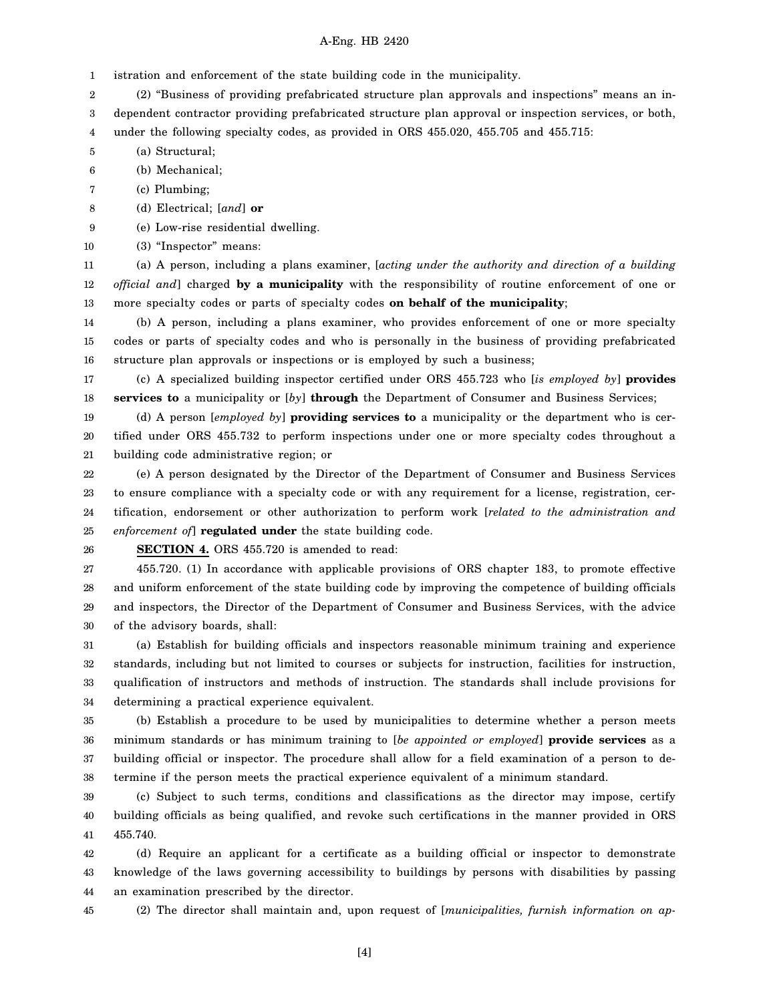1 istration and enforcement of the state building code in the municipality.

2 (2) "Business of providing prefabricated structure plan approvals and inspections" means an in-

3 dependent contractor providing prefabricated structure plan approval or inspection services, or both,

4 under the following specialty codes, as provided in ORS 455.020, 455.705 and 455.715:

5 (a) Structural;

6 (b) Mechanical;

- 7 (c) Plumbing;
- 8 (d) Electrical; [*and*] **or**
- 9 (e) Low-rise residential dwelling.

10 (3) "Inspector" means:

11 12 13 (a) A person, including a plans examiner, [*acting under the authority and direction of a building official and*] charged **by a municipality** with the responsibility of routine enforcement of one or more specialty codes or parts of specialty codes **on behalf of the municipality**;

14 15 16 (b) A person, including a plans examiner, who provides enforcement of one or more specialty codes or parts of specialty codes and who is personally in the business of providing prefabricated structure plan approvals or inspections or is employed by such a business;

17 18 (c) A specialized building inspector certified under ORS 455.723 who [*is employed by*] **provides services to** a municipality or [*by*] **through** the Department of Consumer and Business Services;

19 20 21 (d) A person [*employed by*] **providing services to** a municipality or the department who is certified under ORS 455.732 to perform inspections under one or more specialty codes throughout a building code administrative region; or

22 23 24 25 (e) A person designated by the Director of the Department of Consumer and Business Services to ensure compliance with a specialty code or with any requirement for a license, registration, certification, endorsement or other authorization to perform work [*related to the administration and enforcement of*] **regulated under** the state building code.

26

**SECTION 4.** ORS 455.720 is amended to read:

27 28 29 30 455.720. (1) In accordance with applicable provisions of ORS chapter 183, to promote effective and uniform enforcement of the state building code by improving the competence of building officials and inspectors, the Director of the Department of Consumer and Business Services, with the advice of the advisory boards, shall:

31 32 33 34 (a) Establish for building officials and inspectors reasonable minimum training and experience standards, including but not limited to courses or subjects for instruction, facilities for instruction, qualification of instructors and methods of instruction. The standards shall include provisions for determining a practical experience equivalent.

35 36 37 38 (b) Establish a procedure to be used by municipalities to determine whether a person meets minimum standards or has minimum training to [*be appointed or employed*] **provide services** as a building official or inspector. The procedure shall allow for a field examination of a person to determine if the person meets the practical experience equivalent of a minimum standard.

39 40 41 (c) Subject to such terms, conditions and classifications as the director may impose, certify building officials as being qualified, and revoke such certifications in the manner provided in ORS 455.740.

42 43 44 (d) Require an applicant for a certificate as a building official or inspector to demonstrate knowledge of the laws governing accessibility to buildings by persons with disabilities by passing an examination prescribed by the director.

45 (2) The director shall maintain and, upon request of [*municipalities, furnish information on ap-*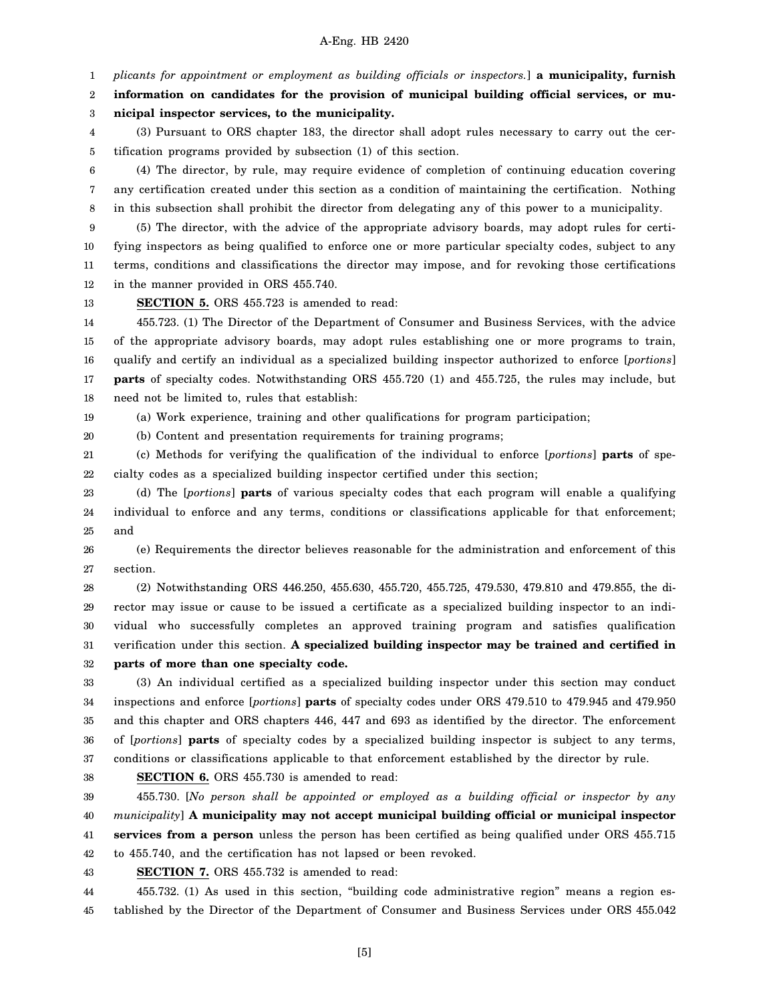1 *plicants for appointment or employment as building officials or inspectors.*] **a municipality, furnish**

2 3 **information on candidates for the provision of municipal building official services, or municipal inspector services, to the municipality.**

4 5 (3) Pursuant to ORS chapter 183, the director shall adopt rules necessary to carry out the certification programs provided by subsection (1) of this section.

6 7 8 (4) The director, by rule, may require evidence of completion of continuing education covering any certification created under this section as a condition of maintaining the certification. Nothing in this subsection shall prohibit the director from delegating any of this power to a municipality.

9 10 11 12 (5) The director, with the advice of the appropriate advisory boards, may adopt rules for certifying inspectors as being qualified to enforce one or more particular specialty codes, subject to any terms, conditions and classifications the director may impose, and for revoking those certifications in the manner provided in ORS 455.740.

13 **SECTION 5.** ORS 455.723 is amended to read:

14 15 16 17 18 455.723. (1) The Director of the Department of Consumer and Business Services, with the advice of the appropriate advisory boards, may adopt rules establishing one or more programs to train, qualify and certify an individual as a specialized building inspector authorized to enforce [*portions*] **parts** of specialty codes. Notwithstanding ORS 455.720 (1) and 455.725, the rules may include, but need not be limited to, rules that establish:

19 (a) Work experience, training and other qualifications for program participation;

20 (b) Content and presentation requirements for training programs;

21 22 (c) Methods for verifying the qualification of the individual to enforce [*portions*] **parts** of specialty codes as a specialized building inspector certified under this section;

23 24 25 (d) The [*portions*] **parts** of various specialty codes that each program will enable a qualifying individual to enforce and any terms, conditions or classifications applicable for that enforcement; and

26 27 (e) Requirements the director believes reasonable for the administration and enforcement of this section.

28 29 30 31 32 (2) Notwithstanding ORS 446.250, 455.630, 455.720, 455.725, 479.530, 479.810 and 479.855, the director may issue or cause to be issued a certificate as a specialized building inspector to an individual who successfully completes an approved training program and satisfies qualification verification under this section. **A specialized building inspector may be trained and certified in parts of more than one specialty code.**

33 34 35 36 37 (3) An individual certified as a specialized building inspector under this section may conduct inspections and enforce [*portions*] **parts** of specialty codes under ORS 479.510 to 479.945 and 479.950 and this chapter and ORS chapters 446, 447 and 693 as identified by the director. The enforcement of [*portions*] **parts** of specialty codes by a specialized building inspector is subject to any terms, conditions or classifications applicable to that enforcement established by the director by rule.

38

**SECTION 6.** ORS 455.730 is amended to read:

39 40 41 42 43 455.730. [*No person shall be appointed or employed as a building official or inspector by any municipality*] **A municipality may not accept municipal building official or municipal inspector services from a person** unless the person has been certified as being qualified under ORS 455.715 to 455.740, and the certification has not lapsed or been revoked. **SECTION 7.** ORS 455.732 is amended to read:

44 45 455.732. (1) As used in this section, "building code administrative region" means a region established by the Director of the Department of Consumer and Business Services under ORS 455.042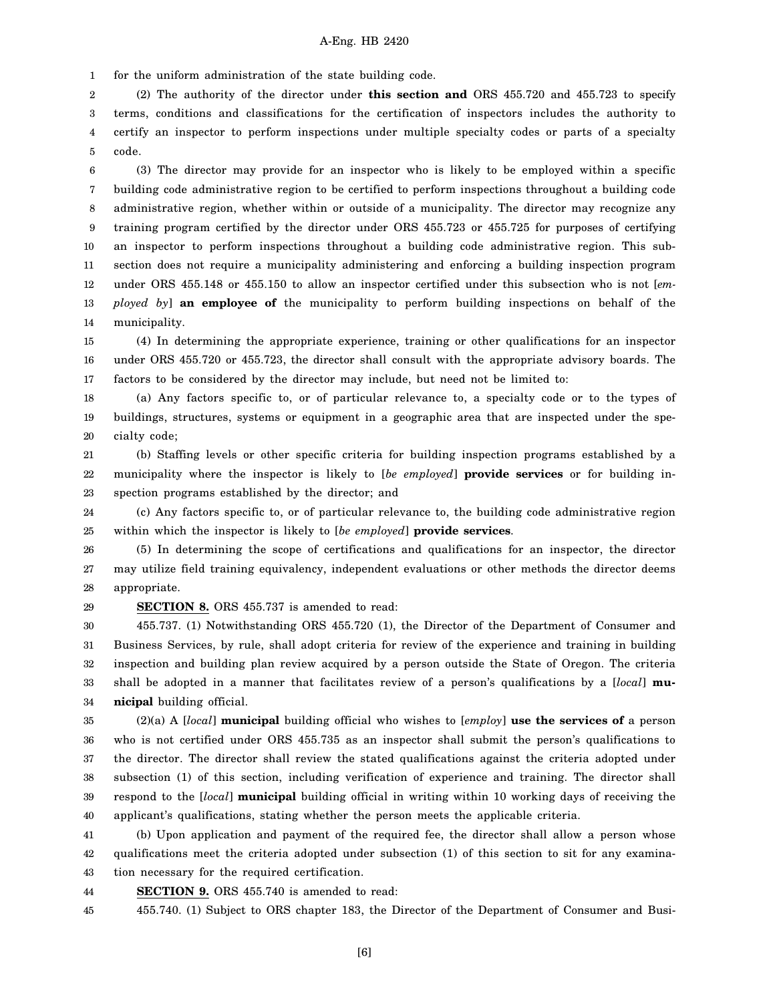1 for the uniform administration of the state building code.

2 3 4 5 (2) The authority of the director under **this section and** ORS 455.720 and 455.723 to specify terms, conditions and classifications for the certification of inspectors includes the authority to certify an inspector to perform inspections under multiple specialty codes or parts of a specialty code.

6 7 8 9 10 11 12 13 14 (3) The director may provide for an inspector who is likely to be employed within a specific building code administrative region to be certified to perform inspections throughout a building code administrative region, whether within or outside of a municipality. The director may recognize any training program certified by the director under ORS 455.723 or 455.725 for purposes of certifying an inspector to perform inspections throughout a building code administrative region. This subsection does not require a municipality administering and enforcing a building inspection program under ORS 455.148 or 455.150 to allow an inspector certified under this subsection who is not [*employed by*] **an employee of** the municipality to perform building inspections on behalf of the municipality.

15 16 17 (4) In determining the appropriate experience, training or other qualifications for an inspector under ORS 455.720 or 455.723, the director shall consult with the appropriate advisory boards. The factors to be considered by the director may include, but need not be limited to:

18 19 20 (a) Any factors specific to, or of particular relevance to, a specialty code or to the types of buildings, structures, systems or equipment in a geographic area that are inspected under the specialty code;

21 22 23 (b) Staffing levels or other specific criteria for building inspection programs established by a municipality where the inspector is likely to [*be employed*] **provide services** or for building inspection programs established by the director; and

24 25 (c) Any factors specific to, or of particular relevance to, the building code administrative region within which the inspector is likely to [*be employed*] **provide services**.

26 27 28 (5) In determining the scope of certifications and qualifications for an inspector, the director may utilize field training equivalency, independent evaluations or other methods the director deems appropriate.

29

**SECTION 8.** ORS 455.737 is amended to read:

30 31 32 33 34 455.737. (1) Notwithstanding ORS 455.720 (1), the Director of the Department of Consumer and Business Services, by rule, shall adopt criteria for review of the experience and training in building inspection and building plan review acquired by a person outside the State of Oregon. The criteria shall be adopted in a manner that facilitates review of a person's qualifications by a [*local*] **municipal** building official.

35 36 37 38 39 40 (2)(a) A [*local*] **municipal** building official who wishes to [*employ*] **use the services of** a person who is not certified under ORS 455.735 as an inspector shall submit the person's qualifications to the director. The director shall review the stated qualifications against the criteria adopted under subsection (1) of this section, including verification of experience and training. The director shall respond to the [*local*] **municipal** building official in writing within 10 working days of receiving the applicant's qualifications, stating whether the person meets the applicable criteria.

41 42 43 (b) Upon application and payment of the required fee, the director shall allow a person whose qualifications meet the criteria adopted under subsection (1) of this section to sit for any examination necessary for the required certification.

44 **SECTION 9.** ORS 455.740 is amended to read:

45 455.740. (1) Subject to ORS chapter 183, the Director of the Department of Consumer and Busi-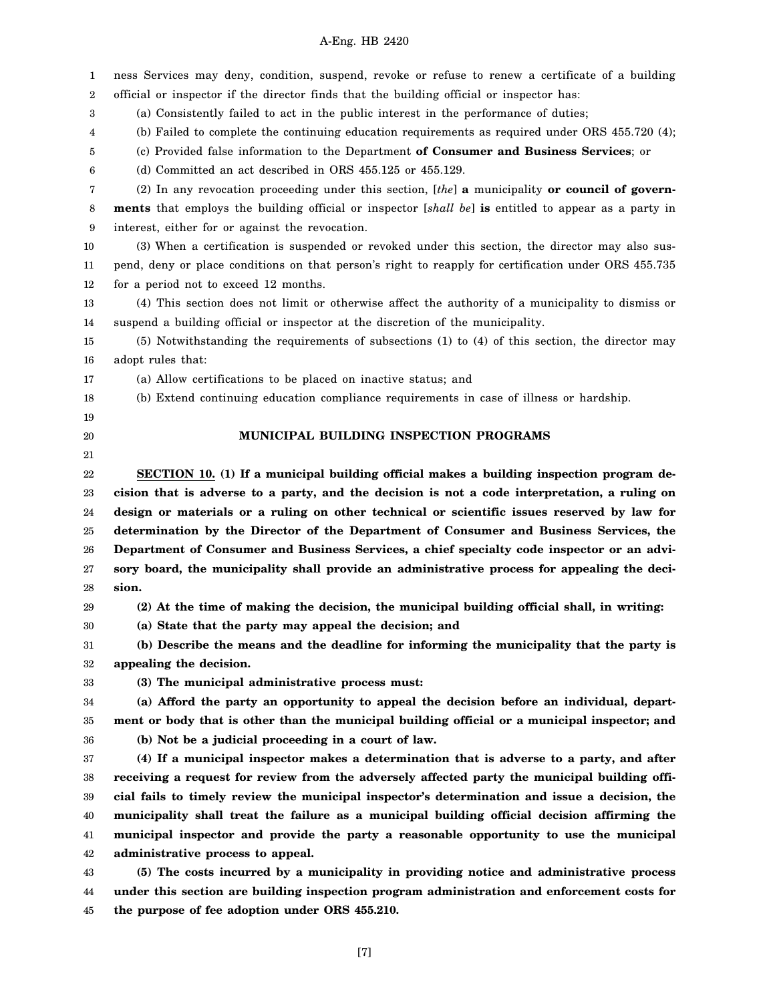1 2 3 4 5 6 7 8 9 10 11 12 13 14 15 16 17 18 19 20 21 22 23 24 25 26 27 28 29 30 31 32 33 34 35 36 37 38 39 40 41 42 43 44 45 ness Services may deny, condition, suspend, revoke or refuse to renew a certificate of a building official or inspector if the director finds that the building official or inspector has: (a) Consistently failed to act in the public interest in the performance of duties; (b) Failed to complete the continuing education requirements as required under ORS 455.720 (4); (c) Provided false information to the Department **of Consumer and Business Services**; or (d) Committed an act described in ORS 455.125 or 455.129. (2) In any revocation proceeding under this section, [*the*] **a** municipality **or council of governments** that employs the building official or inspector [*shall be*] **is** entitled to appear as a party in interest, either for or against the revocation. (3) When a certification is suspended or revoked under this section, the director may also suspend, deny or place conditions on that person's right to reapply for certification under ORS 455.735 for a period not to exceed 12 months. (4) This section does not limit or otherwise affect the authority of a municipality to dismiss or suspend a building official or inspector at the discretion of the municipality. (5) Notwithstanding the requirements of subsections (1) to (4) of this section, the director may adopt rules that: (a) Allow certifications to be placed on inactive status; and (b) Extend continuing education compliance requirements in case of illness or hardship. **MUNICIPAL BUILDING INSPECTION PROGRAMS SECTION 10. (1) If a municipal building official makes a building inspection program decision that is adverse to a party, and the decision is not a code interpretation, a ruling on design or materials or a ruling on other technical or scientific issues reserved by law for determination by the Director of the Department of Consumer and Business Services, the Department of Consumer and Business Services, a chief specialty code inspector or an advisory board, the municipality shall provide an administrative process for appealing the decision. (2) At the time of making the decision, the municipal building official shall, in writing: (a) State that the party may appeal the decision; and (b) Describe the means and the deadline for informing the municipality that the party is appealing the decision. (3) The municipal administrative process must: (a) Afford the party an opportunity to appeal the decision before an individual, department or body that is other than the municipal building official or a municipal inspector; and (b) Not be a judicial proceeding in a court of law. (4) If a municipal inspector makes a determination that is adverse to a party, and after receiving a request for review from the adversely affected party the municipal building official fails to timely review the municipal inspector's determination and issue a decision, the municipality shall treat the failure as a municipal building official decision affirming the municipal inspector and provide the party a reasonable opportunity to use the municipal administrative process to appeal. (5) The costs incurred by a municipality in providing notice and administrative process under this section are building inspection program administration and enforcement costs for the purpose of fee adoption under ORS 455.210.**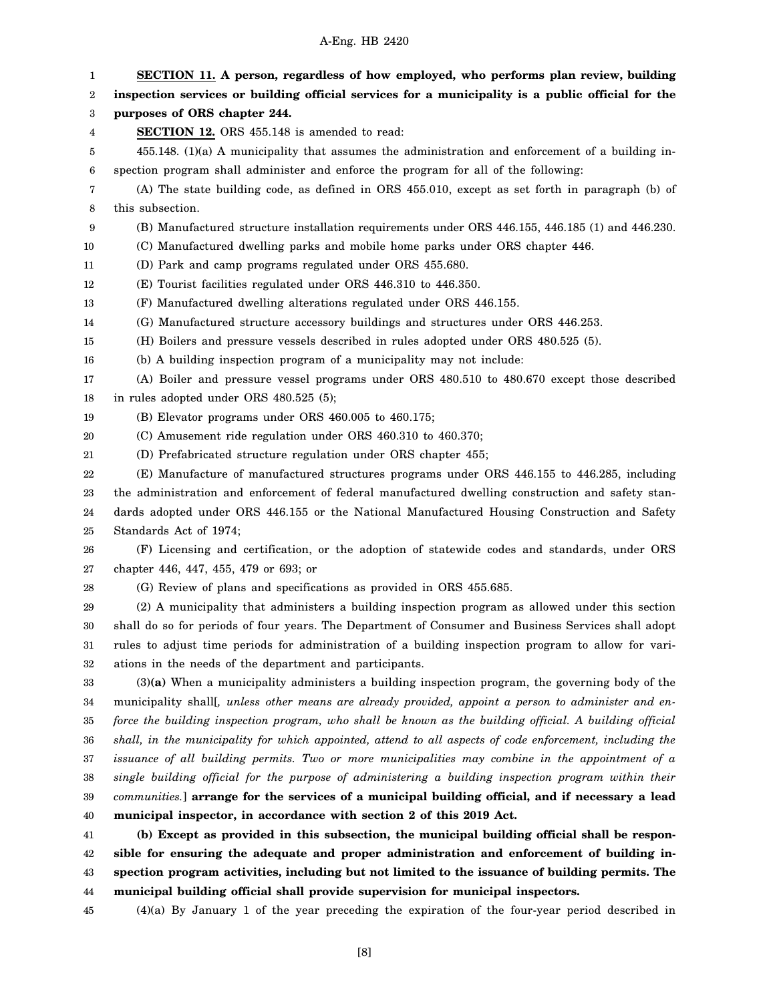1 2 3 4 5 6 7 8 9 10 11 12 13 14 15 16 17 18 19 20 21 22 23 24 25 26 27 28 29 30 31 32 33 34 35 36 37 38 39 40 41 42 43 **SECTION 11. A person, regardless of how employed, who performs plan review, building inspection services or building official services for a municipality is a public official for the purposes of ORS chapter 244. SECTION 12.** ORS 455.148 is amended to read: 455.148. (1)(a) A municipality that assumes the administration and enforcement of a building inspection program shall administer and enforce the program for all of the following: (A) The state building code, as defined in ORS 455.010, except as set forth in paragraph (b) of this subsection. (B) Manufactured structure installation requirements under ORS 446.155, 446.185 (1) and 446.230. (C) Manufactured dwelling parks and mobile home parks under ORS chapter 446. (D) Park and camp programs regulated under ORS 455.680. (E) Tourist facilities regulated under ORS 446.310 to 446.350. (F) Manufactured dwelling alterations regulated under ORS 446.155. (G) Manufactured structure accessory buildings and structures under ORS 446.253. (H) Boilers and pressure vessels described in rules adopted under ORS 480.525 (5). (b) A building inspection program of a municipality may not include: (A) Boiler and pressure vessel programs under ORS 480.510 to 480.670 except those described in rules adopted under ORS 480.525 (5); (B) Elevator programs under ORS 460.005 to 460.175; (C) Amusement ride regulation under ORS 460.310 to 460.370; (D) Prefabricated structure regulation under ORS chapter 455; (E) Manufacture of manufactured structures programs under ORS 446.155 to 446.285, including the administration and enforcement of federal manufactured dwelling construction and safety standards adopted under ORS 446.155 or the National Manufactured Housing Construction and Safety Standards Act of 1974; (F) Licensing and certification, or the adoption of statewide codes and standards, under ORS chapter 446, 447, 455, 479 or 693; or (G) Review of plans and specifications as provided in ORS 455.685. (2) A municipality that administers a building inspection program as allowed under this section shall do so for periods of four years. The Department of Consumer and Business Services shall adopt rules to adjust time periods for administration of a building inspection program to allow for variations in the needs of the department and participants. (3)**(a)** When a municipality administers a building inspection program, the governing body of the municipality shall[*, unless other means are already provided, appoint a person to administer and enforce the building inspection program, who shall be known as the building official. A building official shall, in the municipality for which appointed, attend to all aspects of code enforcement, including the issuance of all building permits. Two or more municipalities may combine in the appointment of a single building official for the purpose of administering a building inspection program within their communities.*] **arrange for the services of a municipal building official, and if necessary a lead municipal inspector, in accordance with section 2 of this 2019 Act. (b) Except as provided in this subsection, the municipal building official shall be responsible for ensuring the adequate and proper administration and enforcement of building inspection program activities, including but not limited to the issuance of building permits. The**

44 **municipal building official shall provide supervision for municipal inspectors.**

45 (4)(a) By January 1 of the year preceding the expiration of the four-year period described in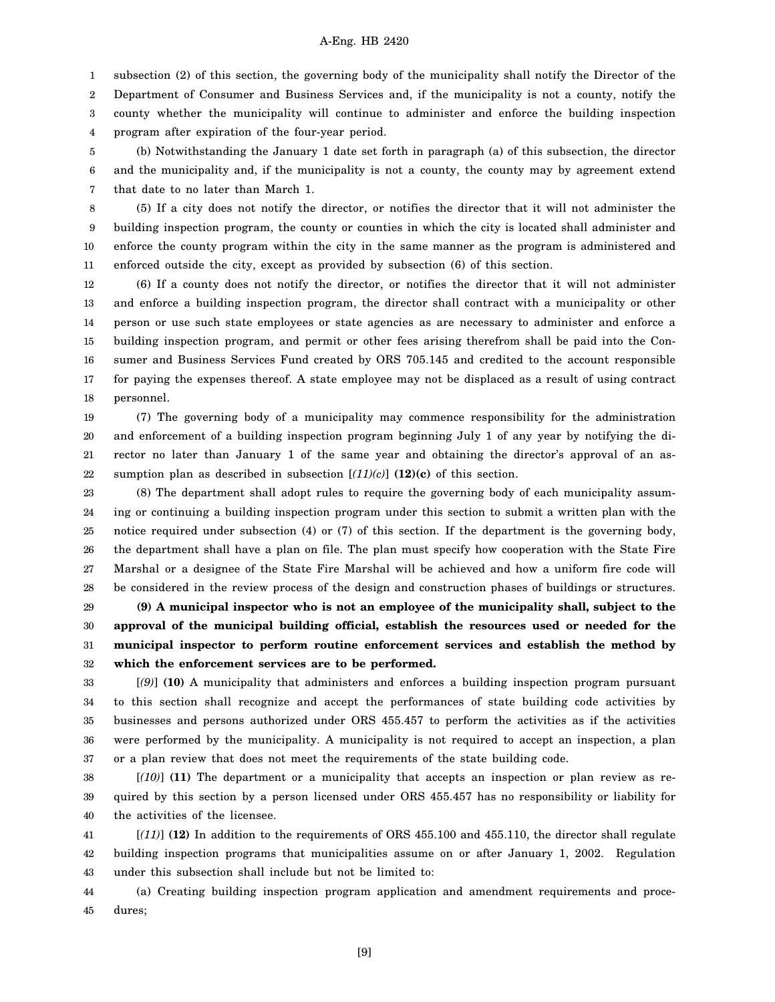1 subsection (2) of this section, the governing body of the municipality shall notify the Director of the

2 3 4 Department of Consumer and Business Services and, if the municipality is not a county, notify the county whether the municipality will continue to administer and enforce the building inspection program after expiration of the four-year period.

5 6 7 (b) Notwithstanding the January 1 date set forth in paragraph (a) of this subsection, the director and the municipality and, if the municipality is not a county, the county may by agreement extend that date to no later than March 1.

8 9 10 11 (5) If a city does not notify the director, or notifies the director that it will not administer the building inspection program, the county or counties in which the city is located shall administer and enforce the county program within the city in the same manner as the program is administered and enforced outside the city, except as provided by subsection (6) of this section.

12 13 14 15 16 17 18 (6) If a county does not notify the director, or notifies the director that it will not administer and enforce a building inspection program, the director shall contract with a municipality or other person or use such state employees or state agencies as are necessary to administer and enforce a building inspection program, and permit or other fees arising therefrom shall be paid into the Consumer and Business Services Fund created by ORS 705.145 and credited to the account responsible for paying the expenses thereof. A state employee may not be displaced as a result of using contract personnel.

19 20 21 22 (7) The governing body of a municipality may commence responsibility for the administration and enforcement of a building inspection program beginning July 1 of any year by notifying the director no later than January 1 of the same year and obtaining the director's approval of an assumption plan as described in subsection  $[(11)(c)]$   $(12)(c)$  of this section.

23 24 25 26 27 28 (8) The department shall adopt rules to require the governing body of each municipality assuming or continuing a building inspection program under this section to submit a written plan with the notice required under subsection (4) or (7) of this section. If the department is the governing body, the department shall have a plan on file. The plan must specify how cooperation with the State Fire Marshal or a designee of the State Fire Marshal will be achieved and how a uniform fire code will be considered in the review process of the design and construction phases of buildings or structures.

29 30 31 32 **(9) A municipal inspector who is not an employee of the municipality shall, subject to the approval of the municipal building official, establish the resources used or needed for the municipal inspector to perform routine enforcement services and establish the method by which the enforcement services are to be performed.**

33 34 35 36 37 [*(9)*] **(10)** A municipality that administers and enforces a building inspection program pursuant to this section shall recognize and accept the performances of state building code activities by businesses and persons authorized under ORS 455.457 to perform the activities as if the activities were performed by the municipality. A municipality is not required to accept an inspection, a plan or a plan review that does not meet the requirements of the state building code.

38 39 40 [*(10)*] **(11)** The department or a municipality that accepts an inspection or plan review as required by this section by a person licensed under ORS 455.457 has no responsibility or liability for the activities of the licensee.

41 42 43 [*(11)*] **(12)** In addition to the requirements of ORS 455.100 and 455.110, the director shall regulate building inspection programs that municipalities assume on or after January 1, 2002. Regulation under this subsection shall include but not be limited to:

44 45 (a) Creating building inspection program application and amendment requirements and procedures;

[9]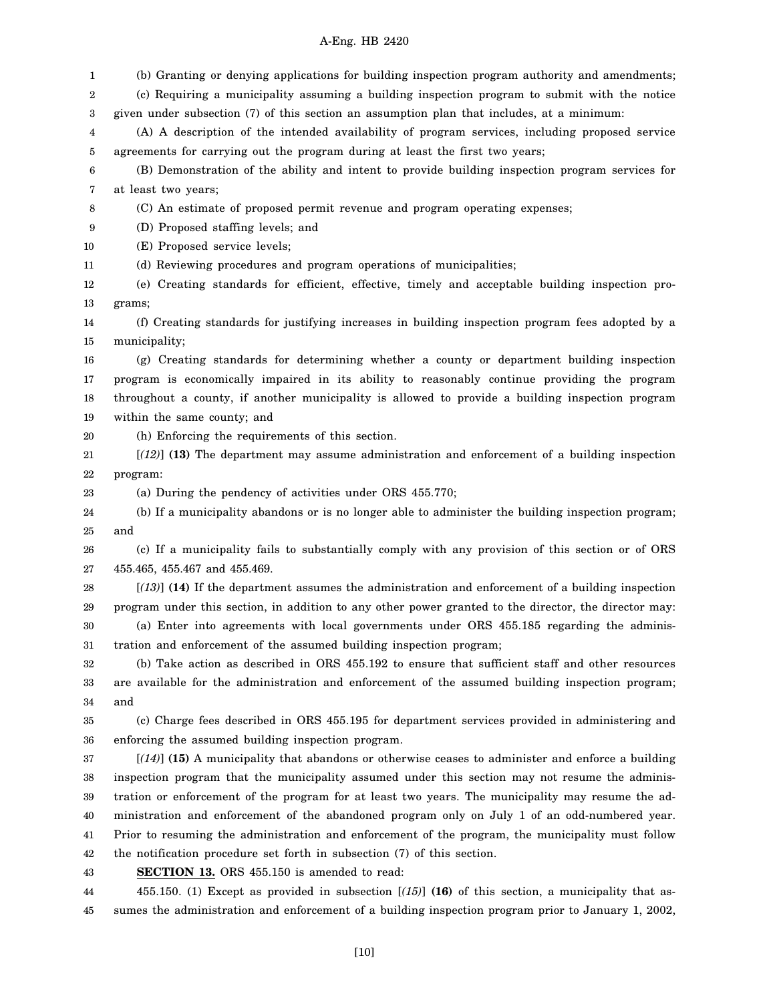1 2 3 4 5 6 7 8 9 10 11 12 13 14 15 16 17 18 19 20 21 22 23 24 25 26 27 28 29 30 31 32 33 34 35 36 37 38 39 40 41 42 43 44 45 (b) Granting or denying applications for building inspection program authority and amendments; (c) Requiring a municipality assuming a building inspection program to submit with the notice given under subsection (7) of this section an assumption plan that includes, at a minimum: (A) A description of the intended availability of program services, including proposed service agreements for carrying out the program during at least the first two years; (B) Demonstration of the ability and intent to provide building inspection program services for at least two years; (C) An estimate of proposed permit revenue and program operating expenses; (D) Proposed staffing levels; and (E) Proposed service levels; (d) Reviewing procedures and program operations of municipalities; (e) Creating standards for efficient, effective, timely and acceptable building inspection programs; (f) Creating standards for justifying increases in building inspection program fees adopted by a municipality; (g) Creating standards for determining whether a county or department building inspection program is economically impaired in its ability to reasonably continue providing the program throughout a county, if another municipality is allowed to provide a building inspection program within the same county; and (h) Enforcing the requirements of this section. [*(12)*] **(13)** The department may assume administration and enforcement of a building inspection program: (a) During the pendency of activities under ORS 455.770; (b) If a municipality abandons or is no longer able to administer the building inspection program; and (c) If a municipality fails to substantially comply with any provision of this section or of ORS 455.465, 455.467 and 455.469. [*(13)*] **(14)** If the department assumes the administration and enforcement of a building inspection program under this section, in addition to any other power granted to the director, the director may: (a) Enter into agreements with local governments under ORS 455.185 regarding the administration and enforcement of the assumed building inspection program; (b) Take action as described in ORS 455.192 to ensure that sufficient staff and other resources are available for the administration and enforcement of the assumed building inspection program; and (c) Charge fees described in ORS 455.195 for department services provided in administering and enforcing the assumed building inspection program. [*(14)*] **(15)** A municipality that abandons or otherwise ceases to administer and enforce a building inspection program that the municipality assumed under this section may not resume the administration or enforcement of the program for at least two years. The municipality may resume the administration and enforcement of the abandoned program only on July 1 of an odd-numbered year. Prior to resuming the administration and enforcement of the program, the municipality must follow the notification procedure set forth in subsection (7) of this section. **SECTION 13.** ORS 455.150 is amended to read: 455.150. (1) Except as provided in subsection [*(15)*] **(16)** of this section, a municipality that assumes the administration and enforcement of a building inspection program prior to January 1, 2002,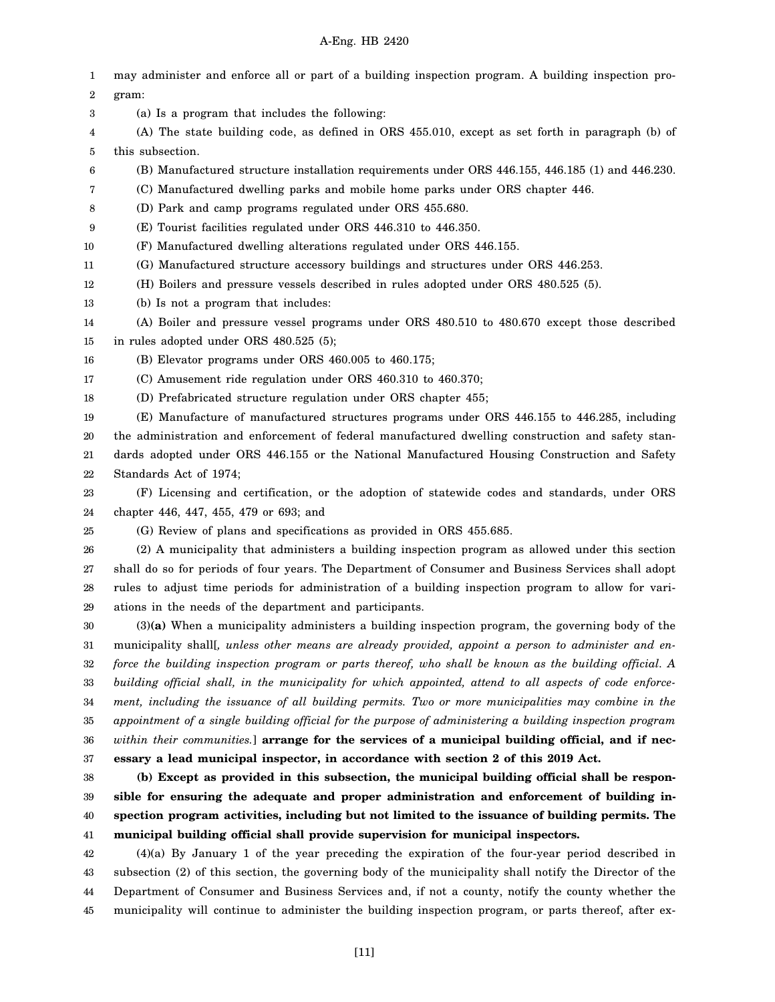1 2 3 4 5 6 7 8 9 10 11 12 13 14 15 16 17 18 19 20 21 22 23 24 25 26 27 28 29 30 31 32 33 34 35 36 37 38 39 40 41 42 43 44 may administer and enforce all or part of a building inspection program. A building inspection program: (a) Is a program that includes the following: (A) The state building code, as defined in ORS 455.010, except as set forth in paragraph (b) of this subsection. (B) Manufactured structure installation requirements under ORS 446.155, 446.185 (1) and 446.230. (C) Manufactured dwelling parks and mobile home parks under ORS chapter 446. (D) Park and camp programs regulated under ORS 455.680. (E) Tourist facilities regulated under ORS 446.310 to 446.350. (F) Manufactured dwelling alterations regulated under ORS 446.155. (G) Manufactured structure accessory buildings and structures under ORS 446.253. (H) Boilers and pressure vessels described in rules adopted under ORS 480.525 (5). (b) Is not a program that includes: (A) Boiler and pressure vessel programs under ORS 480.510 to 480.670 except those described in rules adopted under ORS 480.525 (5); (B) Elevator programs under ORS 460.005 to 460.175; (C) Amusement ride regulation under ORS 460.310 to 460.370; (D) Prefabricated structure regulation under ORS chapter 455; (E) Manufacture of manufactured structures programs under ORS 446.155 to 446.285, including the administration and enforcement of federal manufactured dwelling construction and safety standards adopted under ORS 446.155 or the National Manufactured Housing Construction and Safety Standards Act of 1974; (F) Licensing and certification, or the adoption of statewide codes and standards, under ORS chapter 446, 447, 455, 479 or 693; and (G) Review of plans and specifications as provided in ORS 455.685. (2) A municipality that administers a building inspection program as allowed under this section shall do so for periods of four years. The Department of Consumer and Business Services shall adopt rules to adjust time periods for administration of a building inspection program to allow for variations in the needs of the department and participants. (3)**(a)** When a municipality administers a building inspection program, the governing body of the municipality shall[*, unless other means are already provided, appoint a person to administer and enforce the building inspection program or parts thereof, who shall be known as the building official. A building official shall, in the municipality for which appointed, attend to all aspects of code enforcement, including the issuance of all building permits. Two or more municipalities may combine in the appointment of a single building official for the purpose of administering a building inspection program within their communities.*] **arrange for the services of a municipal building official, and if necessary a lead municipal inspector, in accordance with section 2 of this 2019 Act. (b) Except as provided in this subsection, the municipal building official shall be responsible for ensuring the adequate and proper administration and enforcement of building inspection program activities, including but not limited to the issuance of building permits. The municipal building official shall provide supervision for municipal inspectors.** (4)(a) By January 1 of the year preceding the expiration of the four-year period described in subsection (2) of this section, the governing body of the municipality shall notify the Director of the Department of Consumer and Business Services and, if not a county, notify the county whether the

municipality will continue to administer the building inspection program, or parts thereof, after ex-

45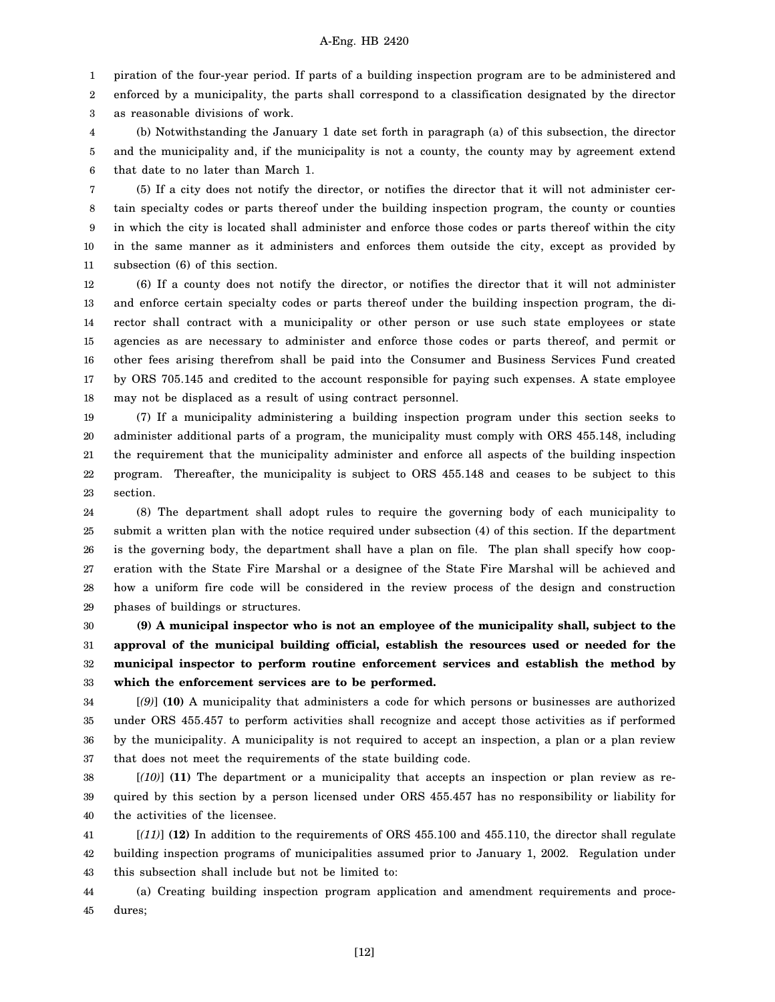1 piration of the four-year period. If parts of a building inspection program are to be administered and

2 3 enforced by a municipality, the parts shall correspond to a classification designated by the director as reasonable divisions of work.

4 5 6 (b) Notwithstanding the January 1 date set forth in paragraph (a) of this subsection, the director and the municipality and, if the municipality is not a county, the county may by agreement extend that date to no later than March 1.

7 8 9 10 11 (5) If a city does not notify the director, or notifies the director that it will not administer certain specialty codes or parts thereof under the building inspection program, the county or counties in which the city is located shall administer and enforce those codes or parts thereof within the city in the same manner as it administers and enforces them outside the city, except as provided by subsection (6) of this section.

12 13 14 15 16 17 18 (6) If a county does not notify the director, or notifies the director that it will not administer and enforce certain specialty codes or parts thereof under the building inspection program, the director shall contract with a municipality or other person or use such state employees or state agencies as are necessary to administer and enforce those codes or parts thereof, and permit or other fees arising therefrom shall be paid into the Consumer and Business Services Fund created by ORS 705.145 and credited to the account responsible for paying such expenses. A state employee may not be displaced as a result of using contract personnel.

19 20 21 22 23 (7) If a municipality administering a building inspection program under this section seeks to administer additional parts of a program, the municipality must comply with ORS 455.148, including the requirement that the municipality administer and enforce all aspects of the building inspection program. Thereafter, the municipality is subject to ORS 455.148 and ceases to be subject to this section.

24 25 26 27 28 29 (8) The department shall adopt rules to require the governing body of each municipality to submit a written plan with the notice required under subsection (4) of this section. If the department is the governing body, the department shall have a plan on file. The plan shall specify how cooperation with the State Fire Marshal or a designee of the State Fire Marshal will be achieved and how a uniform fire code will be considered in the review process of the design and construction phases of buildings or structures.

30 31 32 33 **(9) A municipal inspector who is not an employee of the municipality shall, subject to the approval of the municipal building official, establish the resources used or needed for the municipal inspector to perform routine enforcement services and establish the method by which the enforcement services are to be performed.**

34 35 36 37 [*(9)*] **(10)** A municipality that administers a code for which persons or businesses are authorized under ORS 455.457 to perform activities shall recognize and accept those activities as if performed by the municipality. A municipality is not required to accept an inspection, a plan or a plan review that does not meet the requirements of the state building code.

38 39 40 [*(10)*] **(11)** The department or a municipality that accepts an inspection or plan review as required by this section by a person licensed under ORS 455.457 has no responsibility or liability for the activities of the licensee.

41 42 43 [*(11)*] **(12)** In addition to the requirements of ORS 455.100 and 455.110, the director shall regulate building inspection programs of municipalities assumed prior to January 1, 2002. Regulation under this subsection shall include but not be limited to:

44 45 (a) Creating building inspection program application and amendment requirements and procedures;

[12]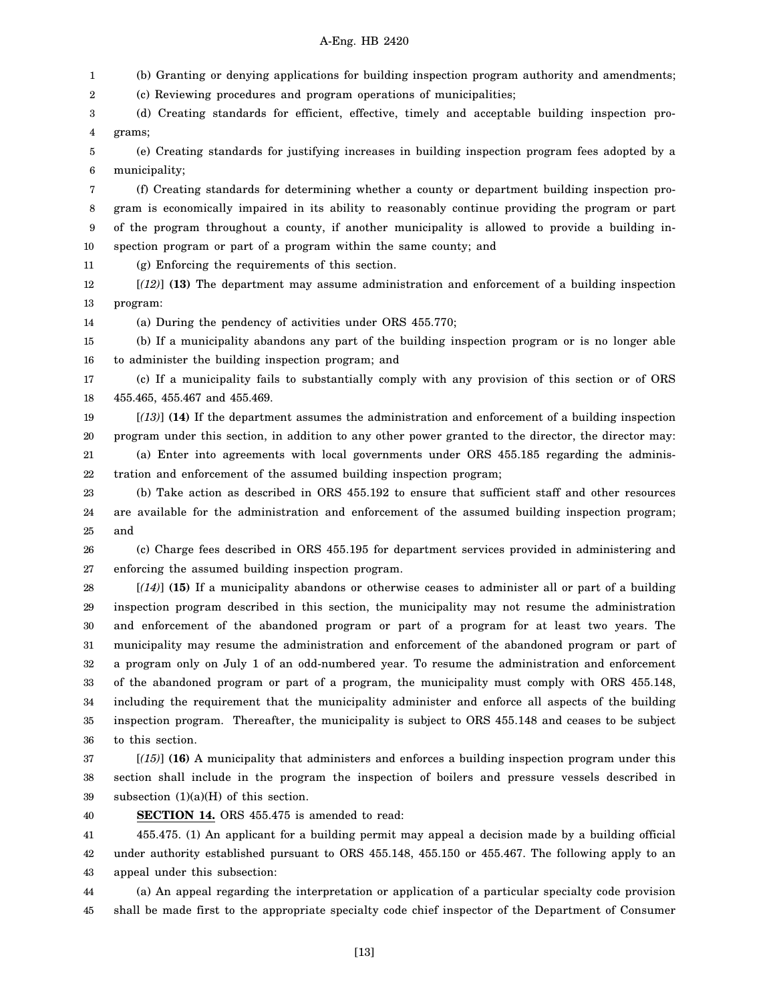1 2 3 4 5 6 7 8 9 10 11 12 13 14 15 16 17 18 19 20 21 22 23 24 25 26 27 28 29 30 31 32 33 34 35 36 37 38 (b) Granting or denying applications for building inspection program authority and amendments; (c) Reviewing procedures and program operations of municipalities; (d) Creating standards for efficient, effective, timely and acceptable building inspection programs; (e) Creating standards for justifying increases in building inspection program fees adopted by a municipality; (f) Creating standards for determining whether a county or department building inspection program is economically impaired in its ability to reasonably continue providing the program or part of the program throughout a county, if another municipality is allowed to provide a building inspection program or part of a program within the same county; and (g) Enforcing the requirements of this section. [*(12)*] **(13)** The department may assume administration and enforcement of a building inspection program: (a) During the pendency of activities under ORS 455.770; (b) If a municipality abandons any part of the building inspection program or is no longer able to administer the building inspection program; and (c) If a municipality fails to substantially comply with any provision of this section or of ORS 455.465, 455.467 and 455.469. [*(13)*] **(14)** If the department assumes the administration and enforcement of a building inspection program under this section, in addition to any other power granted to the director, the director may: (a) Enter into agreements with local governments under ORS 455.185 regarding the administration and enforcement of the assumed building inspection program; (b) Take action as described in ORS 455.192 to ensure that sufficient staff and other resources are available for the administration and enforcement of the assumed building inspection program; and (c) Charge fees described in ORS 455.195 for department services provided in administering and enforcing the assumed building inspection program. [*(14)*] **(15)** If a municipality abandons or otherwise ceases to administer all or part of a building inspection program described in this section, the municipality may not resume the administration and enforcement of the abandoned program or part of a program for at least two years. The municipality may resume the administration and enforcement of the abandoned program or part of a program only on July 1 of an odd-numbered year. To resume the administration and enforcement of the abandoned program or part of a program, the municipality must comply with ORS 455.148, including the requirement that the municipality administer and enforce all aspects of the building inspection program. Thereafter, the municipality is subject to ORS 455.148 and ceases to be subject to this section. [*(15)*] **(16)** A municipality that administers and enforces a building inspection program under this section shall include in the program the inspection of boilers and pressure vessels described in

39 subsection  $(1)(a)(H)$  of this section.

40 **SECTION 14.** ORS 455.475 is amended to read:

41 42 43 455.475. (1) An applicant for a building permit may appeal a decision made by a building official under authority established pursuant to ORS 455.148, 455.150 or 455.467. The following apply to an appeal under this subsection:

44 45 (a) An appeal regarding the interpretation or application of a particular specialty code provision shall be made first to the appropriate specialty code chief inspector of the Department of Consumer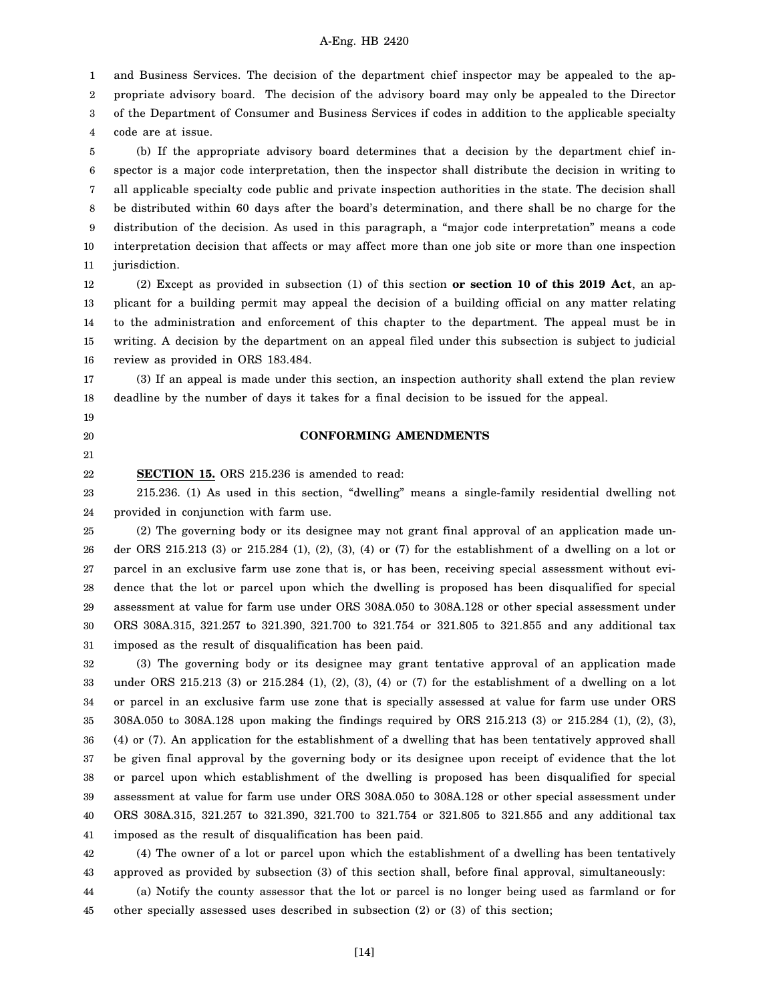and Business Services. The decision of the department chief inspector may be appealed to the ap-

2 propriate advisory board. The decision of the advisory board may only be appealed to the Director

3 of the Department of Consumer and Business Services if codes in addition to the applicable specialty

4 code are at issue.

1

19 20 21

5 6 7 8 9 10 11 (b) If the appropriate advisory board determines that a decision by the department chief inspector is a major code interpretation, then the inspector shall distribute the decision in writing to all applicable specialty code public and private inspection authorities in the state. The decision shall be distributed within 60 days after the board's determination, and there shall be no charge for the distribution of the decision. As used in this paragraph, a "major code interpretation" means a code interpretation decision that affects or may affect more than one job site or more than one inspection jurisdiction.

12 13 14 15 16 (2) Except as provided in subsection (1) of this section **or section 10 of this 2019 Act**, an applicant for a building permit may appeal the decision of a building official on any matter relating to the administration and enforcement of this chapter to the department. The appeal must be in writing. A decision by the department on an appeal filed under this subsection is subject to judicial review as provided in ORS 183.484.

17 18 (3) If an appeal is made under this section, an inspection authority shall extend the plan review deadline by the number of days it takes for a final decision to be issued for the appeal.

## **CONFORMING AMENDMENTS**

22 **SECTION 15.** ORS 215.236 is amended to read:

23 24 215.236. (1) As used in this section, "dwelling" means a single-family residential dwelling not provided in conjunction with farm use.

25 26 27 28 29 30 31 (2) The governing body or its designee may not grant final approval of an application made under ORS 215.213 (3) or 215.284 (1), (2), (3), (4) or (7) for the establishment of a dwelling on a lot or parcel in an exclusive farm use zone that is, or has been, receiving special assessment without evidence that the lot or parcel upon which the dwelling is proposed has been disqualified for special assessment at value for farm use under ORS 308A.050 to 308A.128 or other special assessment under ORS 308A.315, 321.257 to 321.390, 321.700 to 321.754 or 321.805 to 321.855 and any additional tax imposed as the result of disqualification has been paid.

32 33 34 35 36 37 38 39 40 41 (3) The governing body or its designee may grant tentative approval of an application made under ORS 215.213 (3) or 215.284 (1), (2), (3), (4) or (7) for the establishment of a dwelling on a lot or parcel in an exclusive farm use zone that is specially assessed at value for farm use under ORS 308A.050 to 308A.128 upon making the findings required by ORS 215.213 (3) or 215.284 (1), (2), (3), (4) or (7). An application for the establishment of a dwelling that has been tentatively approved shall be given final approval by the governing body or its designee upon receipt of evidence that the lot or parcel upon which establishment of the dwelling is proposed has been disqualified for special assessment at value for farm use under ORS 308A.050 to 308A.128 or other special assessment under ORS 308A.315, 321.257 to 321.390, 321.700 to 321.754 or 321.805 to 321.855 and any additional tax imposed as the result of disqualification has been paid.

42 43 (4) The owner of a lot or parcel upon which the establishment of a dwelling has been tentatively approved as provided by subsection (3) of this section shall, before final approval, simultaneously:

44 45 (a) Notify the county assessor that the lot or parcel is no longer being used as farmland or for other specially assessed uses described in subsection (2) or (3) of this section;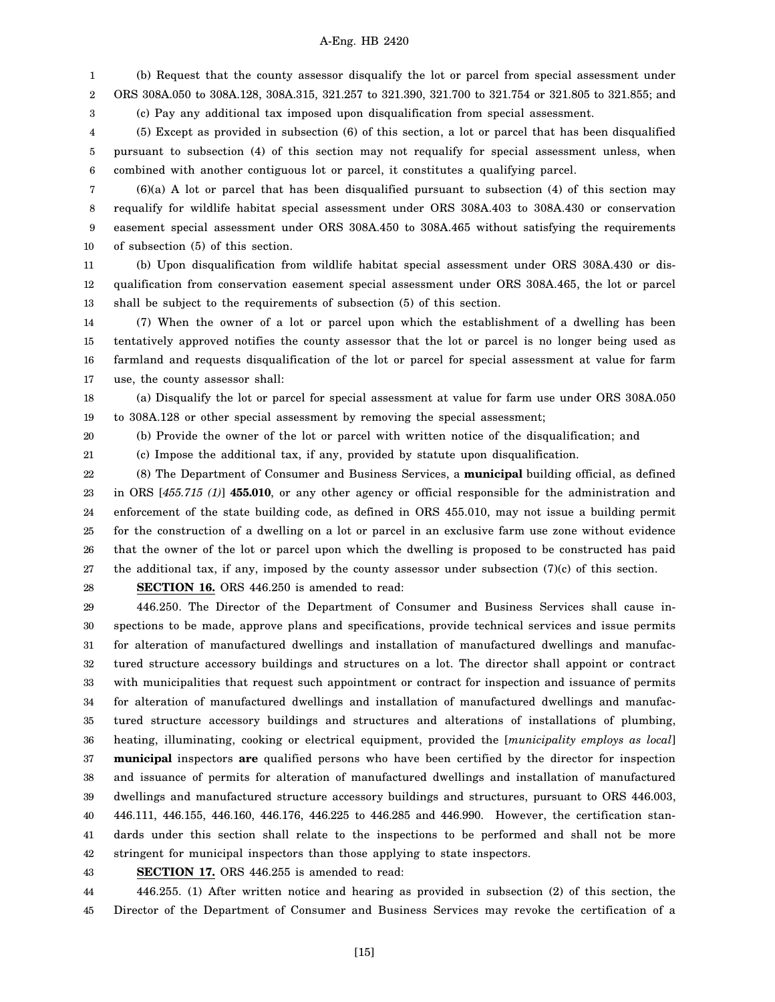1 2 3 (b) Request that the county assessor disqualify the lot or parcel from special assessment under ORS 308A.050 to 308A.128, 308A.315, 321.257 to 321.390, 321.700 to 321.754 or 321.805 to 321.855; and (c) Pay any additional tax imposed upon disqualification from special assessment.

4 5 6 (5) Except as provided in subsection (6) of this section, a lot or parcel that has been disqualified pursuant to subsection (4) of this section may not requalify for special assessment unless, when combined with another contiguous lot or parcel, it constitutes a qualifying parcel.

7 8 9 10  $(6)(a)$  A lot or parcel that has been disqualified pursuant to subsection  $(4)$  of this section may requalify for wildlife habitat special assessment under ORS 308A.403 to 308A.430 or conservation easement special assessment under ORS 308A.450 to 308A.465 without satisfying the requirements of subsection (5) of this section.

11 12 13 (b) Upon disqualification from wildlife habitat special assessment under ORS 308A.430 or disqualification from conservation easement special assessment under ORS 308A.465, the lot or parcel shall be subject to the requirements of subsection (5) of this section.

14 15 16 17 (7) When the owner of a lot or parcel upon which the establishment of a dwelling has been tentatively approved notifies the county assessor that the lot or parcel is no longer being used as farmland and requests disqualification of the lot or parcel for special assessment at value for farm use, the county assessor shall:

18 19 (a) Disqualify the lot or parcel for special assessment at value for farm use under ORS 308A.050 to 308A.128 or other special assessment by removing the special assessment;

20

(b) Provide the owner of the lot or parcel with written notice of the disqualification; and

21 (c) Impose the additional tax, if any, provided by statute upon disqualification.

22 23 24 25 26 27 (8) The Department of Consumer and Business Services, a **municipal** building official, as defined in ORS [*455.715 (1)*] **455.010**, or any other agency or official responsible for the administration and enforcement of the state building code, as defined in ORS 455.010, may not issue a building permit for the construction of a dwelling on a lot or parcel in an exclusive farm use zone without evidence that the owner of the lot or parcel upon which the dwelling is proposed to be constructed has paid the additional tax, if any, imposed by the county assessor under subsection (7)(c) of this section.

28

**SECTION 16.** ORS 446.250 is amended to read:

29 30 31 32 33 34 35 36 37 38 39 40 41 42 446.250. The Director of the Department of Consumer and Business Services shall cause inspections to be made, approve plans and specifications, provide technical services and issue permits for alteration of manufactured dwellings and installation of manufactured dwellings and manufactured structure accessory buildings and structures on a lot. The director shall appoint or contract with municipalities that request such appointment or contract for inspection and issuance of permits for alteration of manufactured dwellings and installation of manufactured dwellings and manufactured structure accessory buildings and structures and alterations of installations of plumbing, heating, illuminating, cooking or electrical equipment, provided the [*municipality employs as local*] **municipal** inspectors **are** qualified persons who have been certified by the director for inspection and issuance of permits for alteration of manufactured dwellings and installation of manufactured dwellings and manufactured structure accessory buildings and structures, pursuant to ORS 446.003, 446.111, 446.155, 446.160, 446.176, 446.225 to 446.285 and 446.990. However, the certification standards under this section shall relate to the inspections to be performed and shall not be more stringent for municipal inspectors than those applying to state inspectors.

43

**SECTION 17.** ORS 446.255 is amended to read:

44 45 446.255. (1) After written notice and hearing as provided in subsection (2) of this section, the Director of the Department of Consumer and Business Services may revoke the certification of a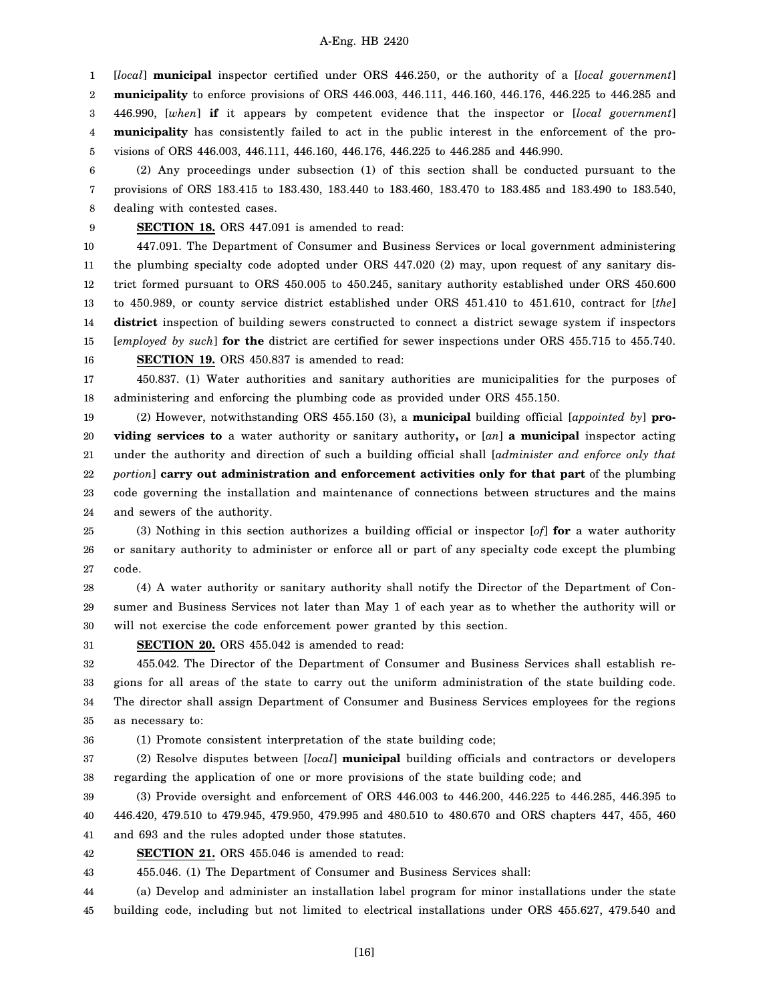1 2 3 4 5 [*local*] **municipal** inspector certified under ORS 446.250, or the authority of a [*local government*] **municipality** to enforce provisions of ORS 446.003, 446.111, 446.160, 446.176, 446.225 to 446.285 and 446.990, [*when*] **if** it appears by competent evidence that the inspector or [*local government*] **municipality** has consistently failed to act in the public interest in the enforcement of the provisions of ORS 446.003, 446.111, 446.160, 446.176, 446.225 to 446.285 and 446.990.

6 7 8 (2) Any proceedings under subsection (1) of this section shall be conducted pursuant to the provisions of ORS 183.415 to 183.430, 183.440 to 183.460, 183.470 to 183.485 and 183.490 to 183.540, dealing with contested cases.

9 **SECTION 18.** ORS 447.091 is amended to read:

10 11 12 13 14 15 16 447.091. The Department of Consumer and Business Services or local government administering the plumbing specialty code adopted under ORS 447.020 (2) may, upon request of any sanitary district formed pursuant to ORS 450.005 to 450.245, sanitary authority established under ORS 450.600 to 450.989, or county service district established under ORS 451.410 to 451.610, contract for [*the*] **district** inspection of building sewers constructed to connect a district sewage system if inspectors [*employed by such*] **for the** district are certified for sewer inspections under ORS 455.715 to 455.740.

**SECTION 19.** ORS 450.837 is amended to read:

17 18 450.837. (1) Water authorities and sanitary authorities are municipalities for the purposes of administering and enforcing the plumbing code as provided under ORS 455.150.

19 20 21 22 23 24 (2) However, notwithstanding ORS 455.150 (3), a **municipal** building official [*appointed by*] **providing services to** a water authority or sanitary authority**,** or [*an*] **a municipal** inspector acting under the authority and direction of such a building official shall [*administer and enforce only that portion*] **carry out administration and enforcement activities only for that part** of the plumbing code governing the installation and maintenance of connections between structures and the mains and sewers of the authority.

25 26 27 (3) Nothing in this section authorizes a building official or inspector [*of*] **for** a water authority or sanitary authority to administer or enforce all or part of any specialty code except the plumbing code.

28 29 30 (4) A water authority or sanitary authority shall notify the Director of the Department of Consumer and Business Services not later than May 1 of each year as to whether the authority will or will not exercise the code enforcement power granted by this section.

31 **SECTION 20.** ORS 455.042 is amended to read:

32 33 34 35 455.042. The Director of the Department of Consumer and Business Services shall establish regions for all areas of the state to carry out the uniform administration of the state building code. The director shall assign Department of Consumer and Business Services employees for the regions as necessary to:

36

(1) Promote consistent interpretation of the state building code;

37 38 (2) Resolve disputes between [*local*] **municipal** building officials and contractors or developers regarding the application of one or more provisions of the state building code; and

39 40 41 (3) Provide oversight and enforcement of ORS 446.003 to 446.200, 446.225 to 446.285, 446.395 to 446.420, 479.510 to 479.945, 479.950, 479.995 and 480.510 to 480.670 and ORS chapters 447, 455, 460 and 693 and the rules adopted under those statutes.

42 **SECTION 21.** ORS 455.046 is amended to read:

43 455.046. (1) The Department of Consumer and Business Services shall:

44 45 (a) Develop and administer an installation label program for minor installations under the state building code, including but not limited to electrical installations under ORS 455.627, 479.540 and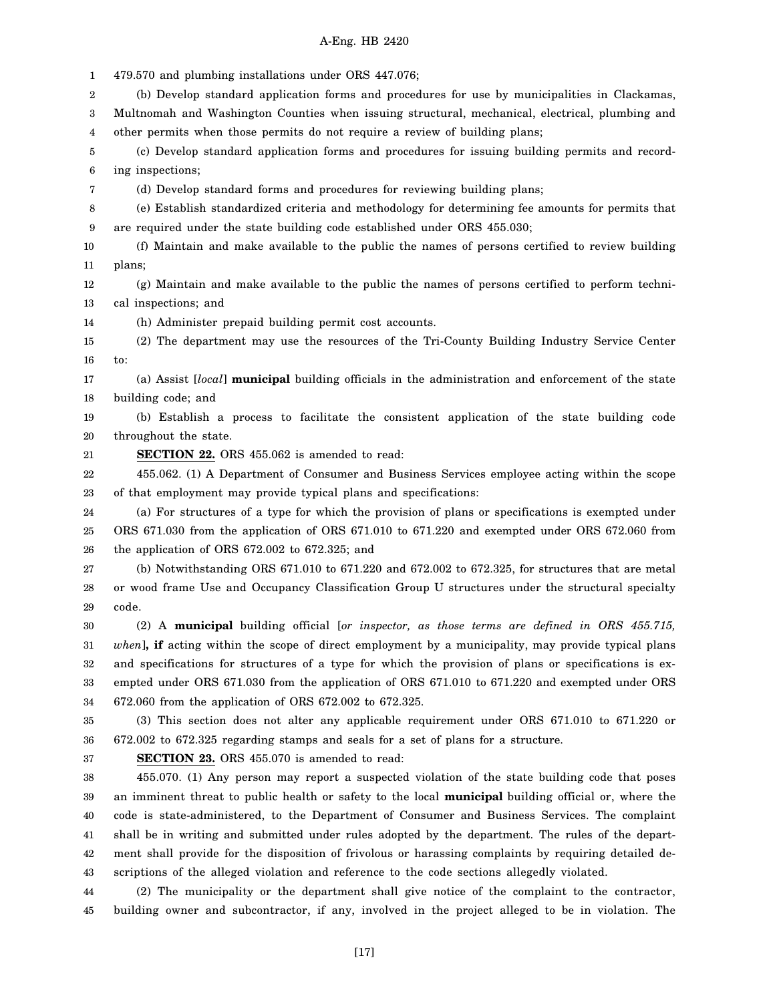1 2 3 4 5 6 7 8 9 10 11 12 13 14 15 16 17 18 19 20 21 22 23 24 25 26 27 28 29 30 31 32 33 34 35 36 37 38 39 40 41 42 43 44 45 479.570 and plumbing installations under ORS 447.076; (b) Develop standard application forms and procedures for use by municipalities in Clackamas, Multnomah and Washington Counties when issuing structural, mechanical, electrical, plumbing and other permits when those permits do not require a review of building plans; (c) Develop standard application forms and procedures for issuing building permits and recording inspections; (d) Develop standard forms and procedures for reviewing building plans; (e) Establish standardized criteria and methodology for determining fee amounts for permits that are required under the state building code established under ORS 455.030; (f) Maintain and make available to the public the names of persons certified to review building plans; (g) Maintain and make available to the public the names of persons certified to perform technical inspections; and (h) Administer prepaid building permit cost accounts. (2) The department may use the resources of the Tri-County Building Industry Service Center to: (a) Assist [*local*] **municipal** building officials in the administration and enforcement of the state building code; and (b) Establish a process to facilitate the consistent application of the state building code throughout the state. **SECTION 22.** ORS 455.062 is amended to read: 455.062. (1) A Department of Consumer and Business Services employee acting within the scope of that employment may provide typical plans and specifications: (a) For structures of a type for which the provision of plans or specifications is exempted under ORS 671.030 from the application of ORS 671.010 to 671.220 and exempted under ORS 672.060 from the application of ORS 672.002 to 672.325; and (b) Notwithstanding ORS 671.010 to 671.220 and 672.002 to 672.325, for structures that are metal or wood frame Use and Occupancy Classification Group U structures under the structural specialty code. (2) A **municipal** building official [*or inspector, as those terms are defined in ORS 455.715, when*]**, if** acting within the scope of direct employment by a municipality, may provide typical plans and specifications for structures of a type for which the provision of plans or specifications is exempted under ORS 671.030 from the application of ORS 671.010 to 671.220 and exempted under ORS 672.060 from the application of ORS 672.002 to 672.325. (3) This section does not alter any applicable requirement under ORS 671.010 to 671.220 or 672.002 to 672.325 regarding stamps and seals for a set of plans for a structure. **SECTION 23.** ORS 455.070 is amended to read: 455.070. (1) Any person may report a suspected violation of the state building code that poses an imminent threat to public health or safety to the local **municipal** building official or, where the code is state-administered, to the Department of Consumer and Business Services. The complaint shall be in writing and submitted under rules adopted by the department. The rules of the department shall provide for the disposition of frivolous or harassing complaints by requiring detailed descriptions of the alleged violation and reference to the code sections allegedly violated. (2) The municipality or the department shall give notice of the complaint to the contractor, building owner and subcontractor, if any, involved in the project alleged to be in violation. The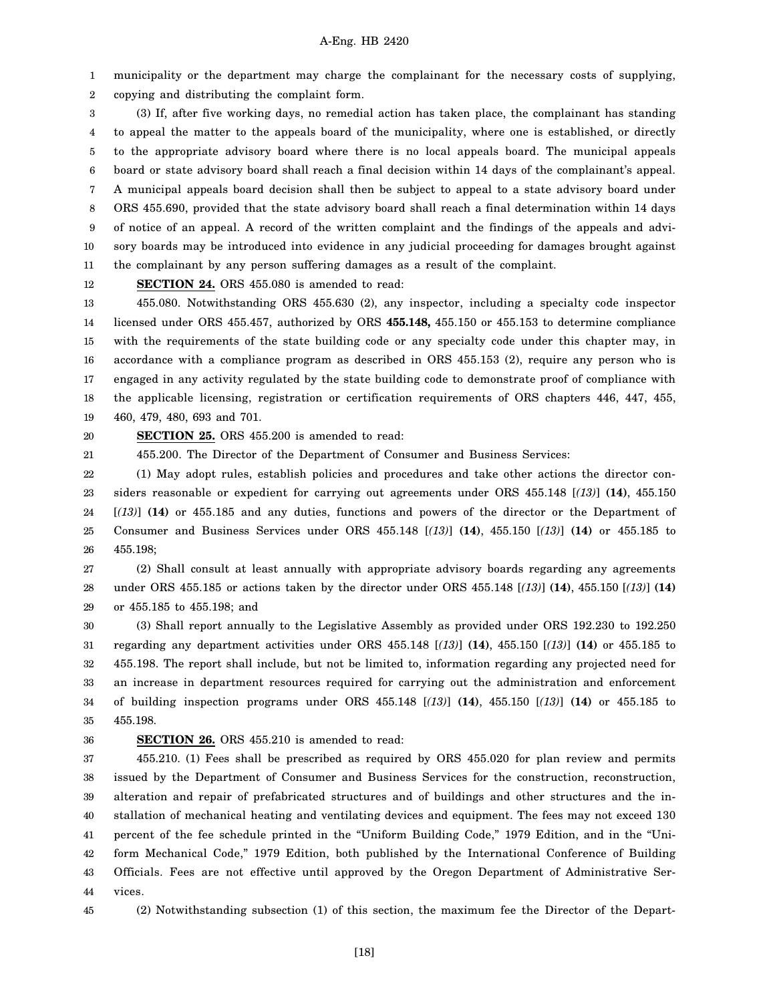1 2 municipality or the department may charge the complainant for the necessary costs of supplying, copying and distributing the complaint form.

3 4 5 6 7 8 9 10 11 (3) If, after five working days, no remedial action has taken place, the complainant has standing to appeal the matter to the appeals board of the municipality, where one is established, or directly to the appropriate advisory board where there is no local appeals board. The municipal appeals board or state advisory board shall reach a final decision within 14 days of the complainant's appeal. A municipal appeals board decision shall then be subject to appeal to a state advisory board under ORS 455.690, provided that the state advisory board shall reach a final determination within 14 days of notice of an appeal. A record of the written complaint and the findings of the appeals and advisory boards may be introduced into evidence in any judicial proceeding for damages brought against the complainant by any person suffering damages as a result of the complaint.

12

**SECTION 24.** ORS 455.080 is amended to read:

13 14 15 16 17 18 19 455.080. Notwithstanding ORS 455.630 (2), any inspector, including a specialty code inspector licensed under ORS 455.457, authorized by ORS **455.148,** 455.150 or 455.153 to determine compliance with the requirements of the state building code or any specialty code under this chapter may, in accordance with a compliance program as described in ORS 455.153 (2), require any person who is engaged in any activity regulated by the state building code to demonstrate proof of compliance with the applicable licensing, registration or certification requirements of ORS chapters 446, 447, 455, 460, 479, 480, 693 and 701.

20 21 **SECTION 25.** ORS 455.200 is amended to read:

455.200. The Director of the Department of Consumer and Business Services:

22 23 24 25 26 (1) May adopt rules, establish policies and procedures and take other actions the director considers reasonable or expedient for carrying out agreements under ORS 455.148 [*(13)*] **(14)**, 455.150 [*(13)*] **(14)** or 455.185 and any duties, functions and powers of the director or the Department of Consumer and Business Services under ORS 455.148 [*(13)*] **(14)**, 455.150 [*(13)*] **(14)** or 455.185 to 455.198;

27 28 29 (2) Shall consult at least annually with appropriate advisory boards regarding any agreements under ORS 455.185 or actions taken by the director under ORS 455.148 [*(13)*] **(14)**, 455.150 [*(13)*] **(14)** or 455.185 to 455.198; and

30 31 32 33 34 35 (3) Shall report annually to the Legislative Assembly as provided under ORS 192.230 to 192.250 regarding any department activities under ORS 455.148 [*(13)*] **(14)**, 455.150 [*(13)*] **(14)** or 455.185 to 455.198. The report shall include, but not be limited to, information regarding any projected need for an increase in department resources required for carrying out the administration and enforcement of building inspection programs under ORS 455.148 [*(13)*] **(14)**, 455.150 [*(13)*] **(14)** or 455.185 to 455.198.

# 36

## **SECTION 26.** ORS 455.210 is amended to read:

37 38 39 40 41 42 43 44 455.210. (1) Fees shall be prescribed as required by ORS 455.020 for plan review and permits issued by the Department of Consumer and Business Services for the construction, reconstruction, alteration and repair of prefabricated structures and of buildings and other structures and the installation of mechanical heating and ventilating devices and equipment. The fees may not exceed 130 percent of the fee schedule printed in the "Uniform Building Code," 1979 Edition, and in the "Uniform Mechanical Code," 1979 Edition, both published by the International Conference of Building Officials. Fees are not effective until approved by the Oregon Department of Administrative Services.

45

(2) Notwithstanding subsection (1) of this section, the maximum fee the Director of the Depart-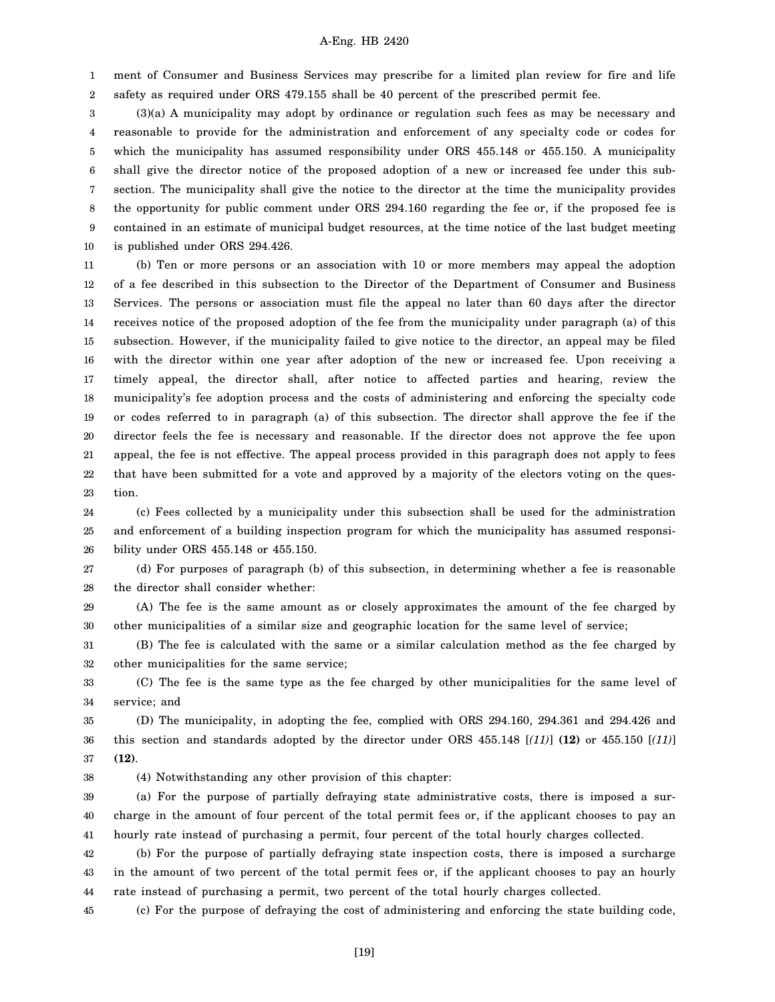1 2 ment of Consumer and Business Services may prescribe for a limited plan review for fire and life safety as required under ORS 479.155 shall be 40 percent of the prescribed permit fee.

3 4 5 6 7 8 9 10 (3)(a) A municipality may adopt by ordinance or regulation such fees as may be necessary and reasonable to provide for the administration and enforcement of any specialty code or codes for which the municipality has assumed responsibility under ORS 455.148 or 455.150. A municipality shall give the director notice of the proposed adoption of a new or increased fee under this subsection. The municipality shall give the notice to the director at the time the municipality provides the opportunity for public comment under ORS 294.160 regarding the fee or, if the proposed fee is contained in an estimate of municipal budget resources, at the time notice of the last budget meeting is published under ORS 294.426.

11 12 13 14 15 16 17 18 19 20 21 22 23 (b) Ten or more persons or an association with 10 or more members may appeal the adoption of a fee described in this subsection to the Director of the Department of Consumer and Business Services. The persons or association must file the appeal no later than 60 days after the director receives notice of the proposed adoption of the fee from the municipality under paragraph (a) of this subsection. However, if the municipality failed to give notice to the director, an appeal may be filed with the director within one year after adoption of the new or increased fee. Upon receiving a timely appeal, the director shall, after notice to affected parties and hearing, review the municipality's fee adoption process and the costs of administering and enforcing the specialty code or codes referred to in paragraph (a) of this subsection. The director shall approve the fee if the director feels the fee is necessary and reasonable. If the director does not approve the fee upon appeal, the fee is not effective. The appeal process provided in this paragraph does not apply to fees that have been submitted for a vote and approved by a majority of the electors voting on the question.

24 25 26 (c) Fees collected by a municipality under this subsection shall be used for the administration and enforcement of a building inspection program for which the municipality has assumed responsibility under ORS 455.148 or 455.150.

27 28 (d) For purposes of paragraph (b) of this subsection, in determining whether a fee is reasonable the director shall consider whether:

29 30 (A) The fee is the same amount as or closely approximates the amount of the fee charged by other municipalities of a similar size and geographic location for the same level of service;

31 32 (B) The fee is calculated with the same or a similar calculation method as the fee charged by other municipalities for the same service;

33 34 (C) The fee is the same type as the fee charged by other municipalities for the same level of service; and

35 36 37 (D) The municipality, in adopting the fee, complied with ORS 294.160, 294.361 and 294.426 and this section and standards adopted by the director under ORS 455.148 [*(11)*] **(12)** or 455.150 [*(11)*] **(12)**.

(4) Notwithstanding any other provision of this chapter:

38

39 40 41 (a) For the purpose of partially defraying state administrative costs, there is imposed a surcharge in the amount of four percent of the total permit fees or, if the applicant chooses to pay an hourly rate instead of purchasing a permit, four percent of the total hourly charges collected.

42 43 44 (b) For the purpose of partially defraying state inspection costs, there is imposed a surcharge in the amount of two percent of the total permit fees or, if the applicant chooses to pay an hourly rate instead of purchasing a permit, two percent of the total hourly charges collected.

45 (c) For the purpose of defraying the cost of administering and enforcing the state building code,

[19]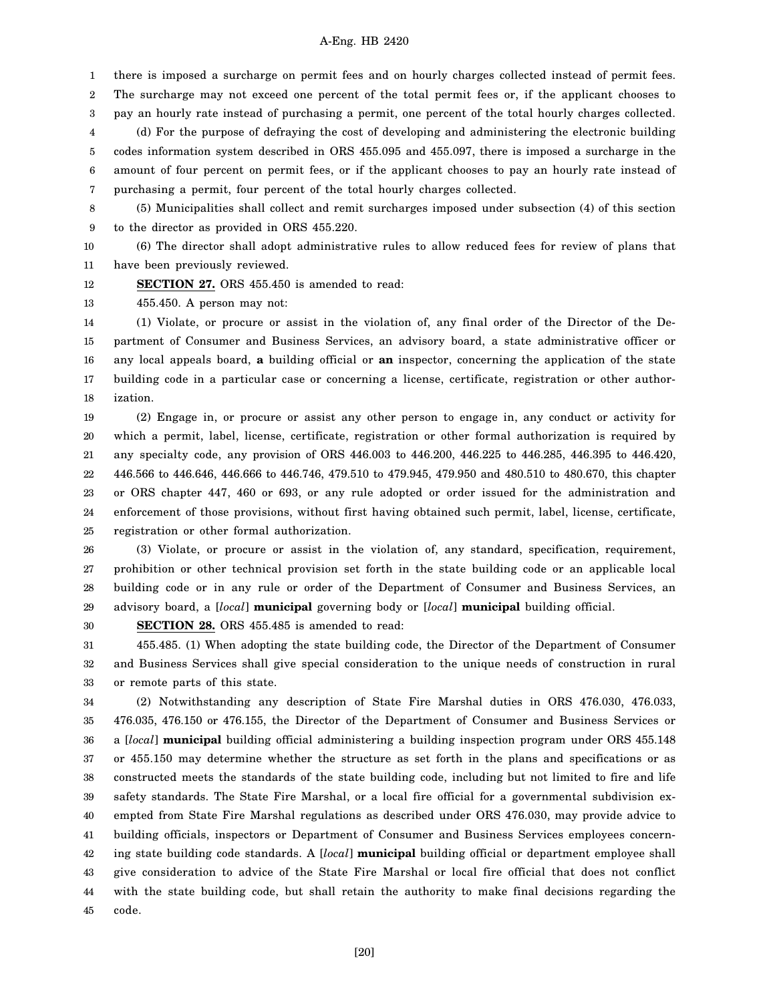1 there is imposed a surcharge on permit fees and on hourly charges collected instead of permit fees.

2 The surcharge may not exceed one percent of the total permit fees or, if the applicant chooses to

3 4 5 6 pay an hourly rate instead of purchasing a permit, one percent of the total hourly charges collected. (d) For the purpose of defraying the cost of developing and administering the electronic building codes information system described in ORS 455.095 and 455.097, there is imposed a surcharge in the amount of four percent on permit fees, or if the applicant chooses to pay an hourly rate instead of

7 purchasing a permit, four percent of the total hourly charges collected.

8 9 (5) Municipalities shall collect and remit surcharges imposed under subsection (4) of this section to the director as provided in ORS 455.220.

10 11 (6) The director shall adopt administrative rules to allow reduced fees for review of plans that have been previously reviewed.

12 **SECTION 27.** ORS 455.450 is amended to read:

13 455.450. A person may not:

14 15 16 17 18 (1) Violate, or procure or assist in the violation of, any final order of the Director of the Department of Consumer and Business Services, an advisory board, a state administrative officer or any local appeals board, **a** building official or **an** inspector, concerning the application of the state building code in a particular case or concerning a license, certificate, registration or other authorization.

19 20 21 22 23 24 25 (2) Engage in, or procure or assist any other person to engage in, any conduct or activity for which a permit, label, license, certificate, registration or other formal authorization is required by any specialty code, any provision of ORS 446.003 to 446.200, 446.225 to 446.285, 446.395 to 446.420, 446.566 to 446.646, 446.666 to 446.746, 479.510 to 479.945, 479.950 and 480.510 to 480.670, this chapter or ORS chapter 447, 460 or 693, or any rule adopted or order issued for the administration and enforcement of those provisions, without first having obtained such permit, label, license, certificate, registration or other formal authorization.

26 27 28 29 (3) Violate, or procure or assist in the violation of, any standard, specification, requirement, prohibition or other technical provision set forth in the state building code or an applicable local building code or in any rule or order of the Department of Consumer and Business Services, an advisory board, a [*local*] **municipal** governing body or [*local*] **municipal** building official.

30

**SECTION 28.** ORS 455.485 is amended to read:

31 32 33 455.485. (1) When adopting the state building code, the Director of the Department of Consumer and Business Services shall give special consideration to the unique needs of construction in rural or remote parts of this state.

34 35 36 37 38 39 40 41 42 43 44 45 (2) Notwithstanding any description of State Fire Marshal duties in ORS 476.030, 476.033, 476.035, 476.150 or 476.155, the Director of the Department of Consumer and Business Services or a [*local*] **municipal** building official administering a building inspection program under ORS 455.148 or 455.150 may determine whether the structure as set forth in the plans and specifications or as constructed meets the standards of the state building code, including but not limited to fire and life safety standards. The State Fire Marshal, or a local fire official for a governmental subdivision exempted from State Fire Marshal regulations as described under ORS 476.030, may provide advice to building officials, inspectors or Department of Consumer and Business Services employees concerning state building code standards. A [*local*] **municipal** building official or department employee shall give consideration to advice of the State Fire Marshal or local fire official that does not conflict with the state building code, but shall retain the authority to make final decisions regarding the code.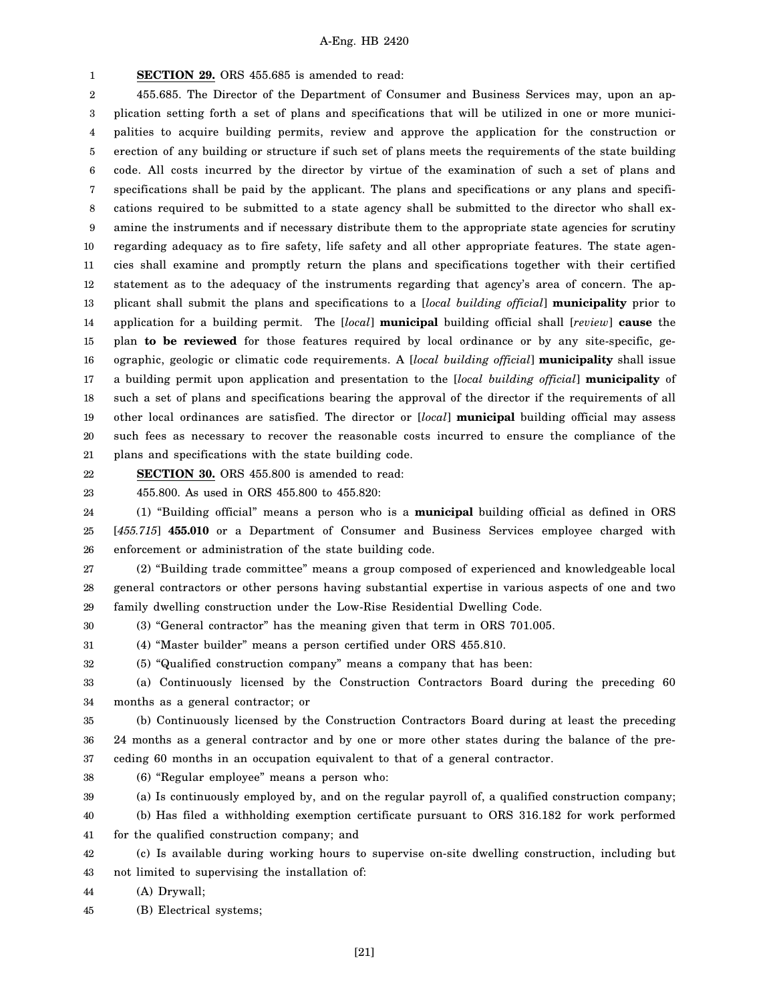1 **SECTION 29.** ORS 455.685 is amended to read:

2 3 4 5 6 7 8 9 10 11 12 13 14 15 16 17 18 19 20 21 455.685. The Director of the Department of Consumer and Business Services may, upon an application setting forth a set of plans and specifications that will be utilized in one or more municipalities to acquire building permits, review and approve the application for the construction or erection of any building or structure if such set of plans meets the requirements of the state building code. All costs incurred by the director by virtue of the examination of such a set of plans and specifications shall be paid by the applicant. The plans and specifications or any plans and specifications required to be submitted to a state agency shall be submitted to the director who shall examine the instruments and if necessary distribute them to the appropriate state agencies for scrutiny regarding adequacy as to fire safety, life safety and all other appropriate features. The state agencies shall examine and promptly return the plans and specifications together with their certified statement as to the adequacy of the instruments regarding that agency's area of concern. The applicant shall submit the plans and specifications to a [*local building official*] **municipality** prior to application for a building permit. The [*local*] **municipal** building official shall [*review*] **cause** the plan **to be reviewed** for those features required by local ordinance or by any site-specific, geographic, geologic or climatic code requirements. A [*local building official*] **municipality** shall issue a building permit upon application and presentation to the [*local building official*] **municipality** of such a set of plans and specifications bearing the approval of the director if the requirements of all other local ordinances are satisfied. The director or [*local*] **municipal** building official may assess such fees as necessary to recover the reasonable costs incurred to ensure the compliance of the plans and specifications with the state building code.

22 23 **SECTION 30.** ORS 455.800 is amended to read:

455.800. As used in ORS 455.800 to 455.820:

24 25 26 (1) "Building official" means a person who is a **municipal** building official as defined in ORS [*455.715*] **455.010** or a Department of Consumer and Business Services employee charged with enforcement or administration of the state building code.

27 28 29 (2) "Building trade committee" means a group composed of experienced and knowledgeable local general contractors or other persons having substantial expertise in various aspects of one and two family dwelling construction under the Low-Rise Residential Dwelling Code.

30 (3) "General contractor" has the meaning given that term in ORS 701.005.

31 (4) "Master builder" means a person certified under ORS 455.810.

32 (5) "Qualified construction company" means a company that has been:

33 34 (a) Continuously licensed by the Construction Contractors Board during the preceding 60 months as a general contractor; or

35 36 37 (b) Continuously licensed by the Construction Contractors Board during at least the preceding 24 months as a general contractor and by one or more other states during the balance of the preceding 60 months in an occupation equivalent to that of a general contractor.

38 (6) "Regular employee" means a person who:

39 (a) Is continuously employed by, and on the regular payroll of, a qualified construction company;

40 41 (b) Has filed a withholding exemption certificate pursuant to ORS 316.182 for work performed for the qualified construction company; and

42 43 (c) Is available during working hours to supervise on-site dwelling construction, including but not limited to supervising the installation of:

44 (A) Drywall;

45 (B) Electrical systems;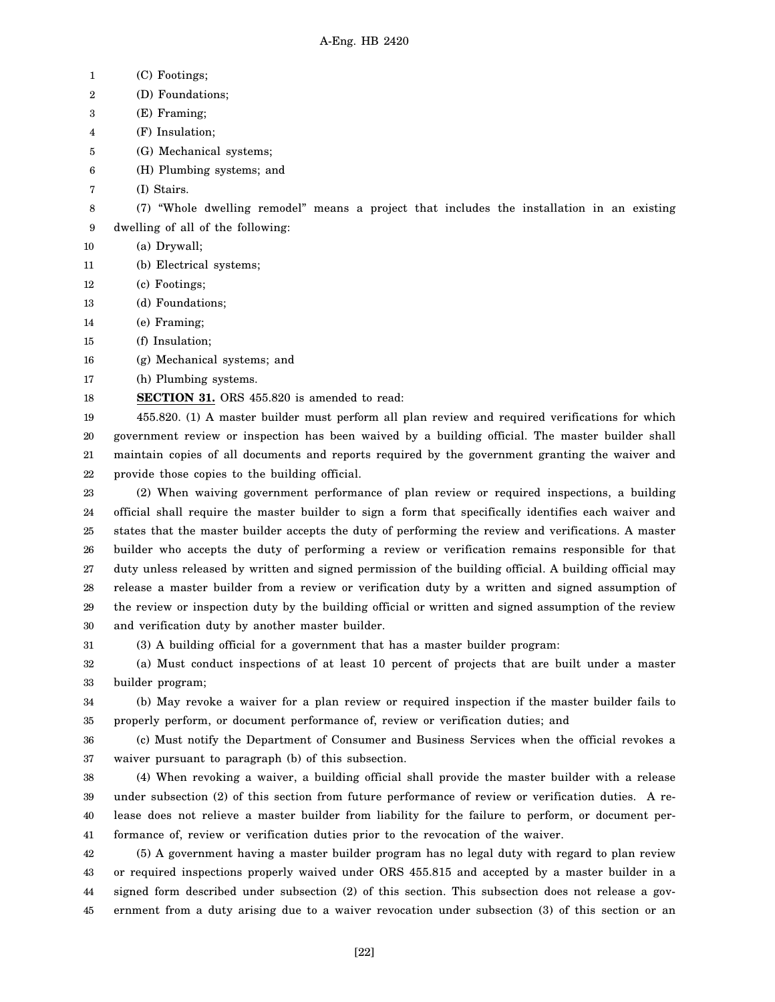1 2 3 4 5 6 7 8 9 10 11 12 13 14 15 16 17 18 19 20 21 22 23 24 25 26 27 28 29 30 31 32 33 34 35 36 37 38 39 40 41 42 43 44 45 (C) Footings; (D) Foundations; (E) Framing; (F) Insulation; (G) Mechanical systems; (H) Plumbing systems; and (I) Stairs. (7) "Whole dwelling remodel" means a project that includes the installation in an existing dwelling of all of the following: (a) Drywall; (b) Electrical systems; (c) Footings; (d) Foundations; (e) Framing; (f) Insulation; (g) Mechanical systems; and (h) Plumbing systems. **SECTION 31.** ORS 455.820 is amended to read: 455.820. (1) A master builder must perform all plan review and required verifications for which government review or inspection has been waived by a building official. The master builder shall maintain copies of all documents and reports required by the government granting the waiver and provide those copies to the building official. (2) When waiving government performance of plan review or required inspections, a building official shall require the master builder to sign a form that specifically identifies each waiver and states that the master builder accepts the duty of performing the review and verifications. A master builder who accepts the duty of performing a review or verification remains responsible for that duty unless released by written and signed permission of the building official. A building official may release a master builder from a review or verification duty by a written and signed assumption of the review or inspection duty by the building official or written and signed assumption of the review and verification duty by another master builder. (3) A building official for a government that has a master builder program: (a) Must conduct inspections of at least 10 percent of projects that are built under a master builder program; (b) May revoke a waiver for a plan review or required inspection if the master builder fails to properly perform, or document performance of, review or verification duties; and (c) Must notify the Department of Consumer and Business Services when the official revokes a waiver pursuant to paragraph (b) of this subsection. (4) When revoking a waiver, a building official shall provide the master builder with a release under subsection (2) of this section from future performance of review or verification duties. A release does not relieve a master builder from liability for the failure to perform, or document performance of, review or verification duties prior to the revocation of the waiver. (5) A government having a master builder program has no legal duty with regard to plan review or required inspections properly waived under ORS 455.815 and accepted by a master builder in a signed form described under subsection (2) of this section. This subsection does not release a government from a duty arising due to a waiver revocation under subsection (3) of this section or an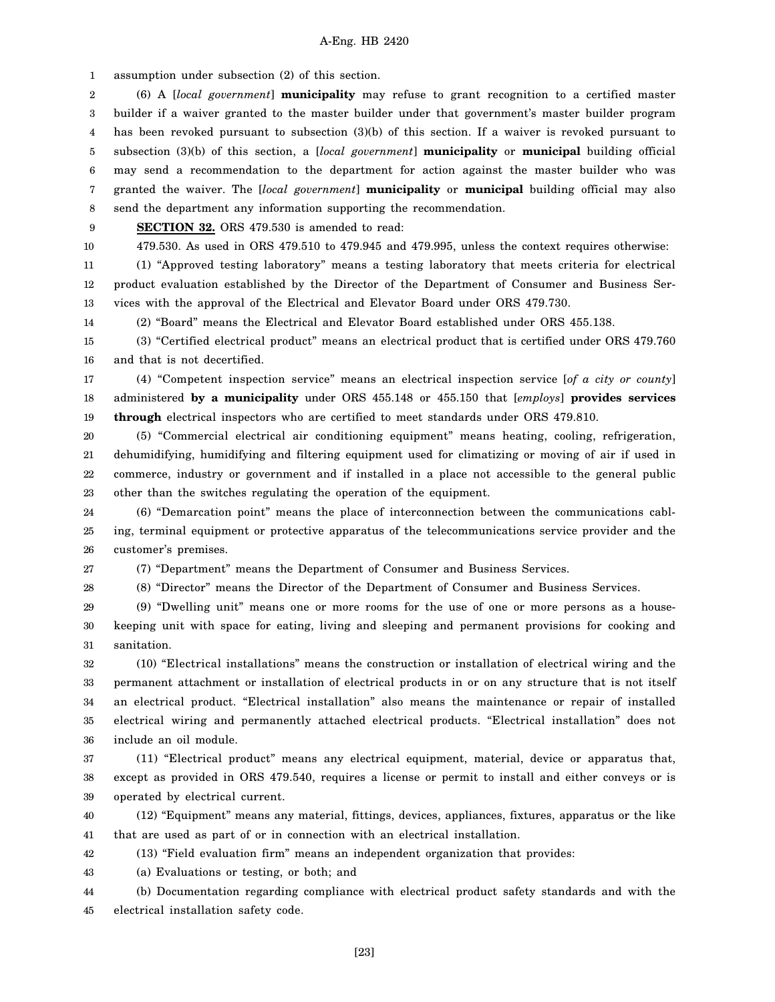1 assumption under subsection (2) of this section.

2 3 4 5 6 7 8 (6) A [*local government*] **municipality** may refuse to grant recognition to a certified master builder if a waiver granted to the master builder under that government's master builder program has been revoked pursuant to subsection (3)(b) of this section. If a waiver is revoked pursuant to subsection (3)(b) of this section, a [*local government*] **municipality** or **municipal** building official may send a recommendation to the department for action against the master builder who was granted the waiver. The [*local government*] **municipality** or **municipal** building official may also send the department any information supporting the recommendation.

9

**SECTION 32.** ORS 479.530 is amended to read:

10

28

479.530. As used in ORS 479.510 to 479.945 and 479.995, unless the context requires otherwise:

11 12 13 (1) "Approved testing laboratory" means a testing laboratory that meets criteria for electrical product evaluation established by the Director of the Department of Consumer and Business Services with the approval of the Electrical and Elevator Board under ORS 479.730.

14 (2) "Board" means the Electrical and Elevator Board established under ORS 455.138.

15 16 (3) "Certified electrical product" means an electrical product that is certified under ORS 479.760 and that is not decertified.

17 18 19 (4) "Competent inspection service" means an electrical inspection service [*of a city or county*] administered **by a municipality** under ORS 455.148 or 455.150 that [*employs*] **provides services through** electrical inspectors who are certified to meet standards under ORS 479.810.

20 21 22 23 (5) "Commercial electrical air conditioning equipment" means heating, cooling, refrigeration, dehumidifying, humidifying and filtering equipment used for climatizing or moving of air if used in commerce, industry or government and if installed in a place not accessible to the general public other than the switches regulating the operation of the equipment.

24 25 26 (6) "Demarcation point" means the place of interconnection between the communications cabling, terminal equipment or protective apparatus of the telecommunications service provider and the customer's premises.

27 (7) "Department" means the Department of Consumer and Business Services.

(8) "Director" means the Director of the Department of Consumer and Business Services.

29 30 31 (9) "Dwelling unit" means one or more rooms for the use of one or more persons as a housekeeping unit with space for eating, living and sleeping and permanent provisions for cooking and sanitation.

32 33 34 35 36 (10) "Electrical installations" means the construction or installation of electrical wiring and the permanent attachment or installation of electrical products in or on any structure that is not itself an electrical product. "Electrical installation" also means the maintenance or repair of installed electrical wiring and permanently attached electrical products. "Electrical installation" does not include an oil module.

37 38 39 (11) "Electrical product" means any electrical equipment, material, device or apparatus that, except as provided in ORS 479.540, requires a license or permit to install and either conveys or is operated by electrical current.

40 41 (12) "Equipment" means any material, fittings, devices, appliances, fixtures, apparatus or the like that are used as part of or in connection with an electrical installation.

42 (13) "Field evaluation firm" means an independent organization that provides:

43 (a) Evaluations or testing, or both; and

44 45 (b) Documentation regarding compliance with electrical product safety standards and with the electrical installation safety code.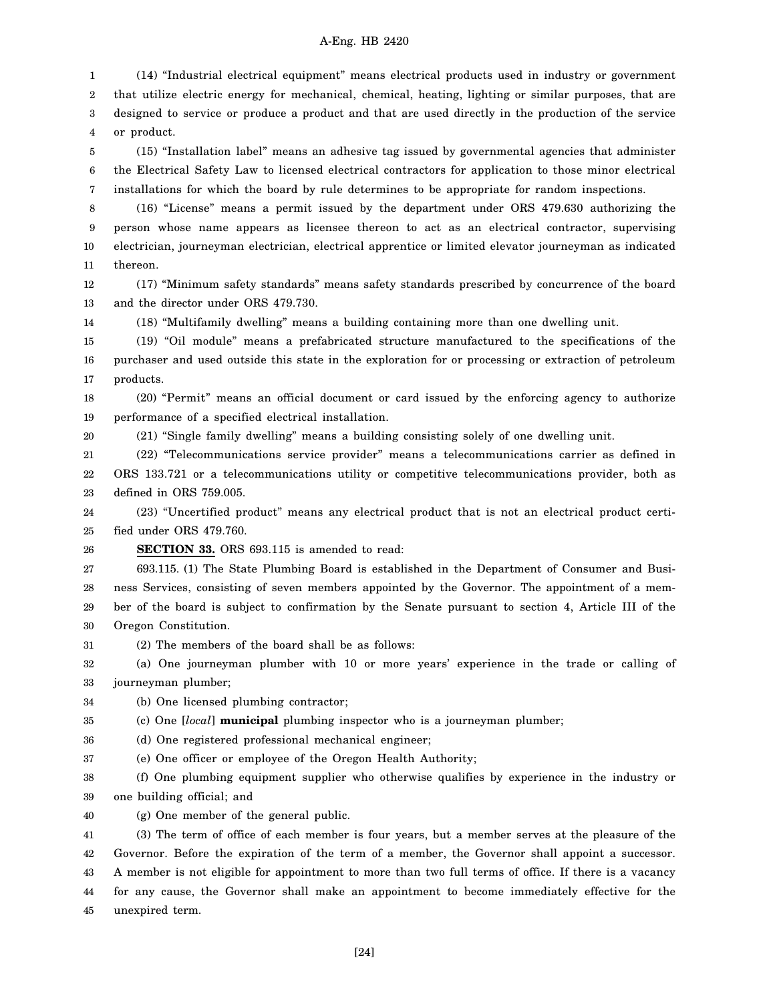1 2 3 4 (14) "Industrial electrical equipment" means electrical products used in industry or government that utilize electric energy for mechanical, chemical, heating, lighting or similar purposes, that are designed to service or produce a product and that are used directly in the production of the service or product.

5 6 7 (15) "Installation label" means an adhesive tag issued by governmental agencies that administer the Electrical Safety Law to licensed electrical contractors for application to those minor electrical installations for which the board by rule determines to be appropriate for random inspections.

8 9 10 11 (16) "License" means a permit issued by the department under ORS 479.630 authorizing the person whose name appears as licensee thereon to act as an electrical contractor, supervising electrician, journeyman electrician, electrical apprentice or limited elevator journeyman as indicated thereon.

12 13 (17) "Minimum safety standards" means safety standards prescribed by concurrence of the board and the director under ORS 479.730.

14 (18) "Multifamily dwelling" means a building containing more than one dwelling unit.

15 16 17 (19) "Oil module" means a prefabricated structure manufactured to the specifications of the purchaser and used outside this state in the exploration for or processing or extraction of petroleum products.

18 19 (20) "Permit" means an official document or card issued by the enforcing agency to authorize performance of a specified electrical installation.

(21) "Single family dwelling" means a building consisting solely of one dwelling unit.

21 22 23 (22) "Telecommunications service provider" means a telecommunications carrier as defined in ORS 133.721 or a telecommunications utility or competitive telecommunications provider, both as defined in ORS 759.005.

24 25 (23) "Uncertified product" means any electrical product that is not an electrical product certified under ORS 479.760.

26 **SECTION 33.** ORS 693.115 is amended to read:

20

27 28 29 30 693.115. (1) The State Plumbing Board is established in the Department of Consumer and Business Services, consisting of seven members appointed by the Governor. The appointment of a member of the board is subject to confirmation by the Senate pursuant to section 4, Article III of the Oregon Constitution.

31 (2) The members of the board shall be as follows:

32 33 (a) One journeyman plumber with 10 or more years' experience in the trade or calling of journeyman plumber;

34 (b) One licensed plumbing contractor;

35 (c) One [*local*] **municipal** plumbing inspector who is a journeyman plumber;

36 (d) One registered professional mechanical engineer;

37 (e) One officer or employee of the Oregon Health Authority;

38 39 (f) One plumbing equipment supplier who otherwise qualifies by experience in the industry or one building official; and

40 (g) One member of the general public.

41 42 43 44 45 (3) The term of office of each member is four years, but a member serves at the pleasure of the Governor. Before the expiration of the term of a member, the Governor shall appoint a successor. A member is not eligible for appointment to more than two full terms of office. If there is a vacancy for any cause, the Governor shall make an appointment to become immediately effective for the unexpired term.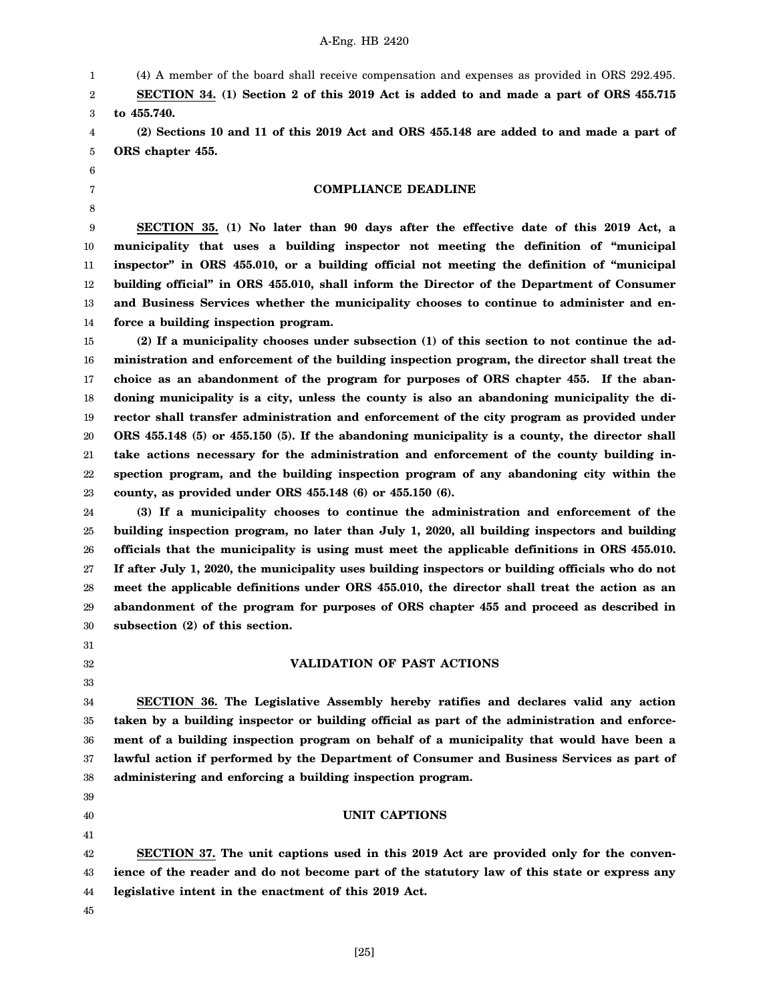(4) A member of the board shall receive compensation and expenses as provided in ORS 292.495.

2 3 **SECTION 34. (1) Section 2 of this 2019 Act is added to and made a part of ORS 455.715 to 455.740.**

4 5 **(2) Sections 10 and 11 of this 2019 Act and ORS 455.148 are added to and made a part of ORS chapter 455.**

#### **COMPLIANCE DEADLINE**

9 10 11 12 13 14 **SECTION 35. (1) No later than 90 days after the effective date of this 2019 Act, a municipality that uses a building inspector not meeting the definition of "municipal inspector" in ORS 455.010, or a building official not meeting the definition of "municipal building official" in ORS 455.010, shall inform the Director of the Department of Consumer and Business Services whether the municipality chooses to continue to administer and enforce a building inspection program.**

15 16 17 18 19 20 21 22 23 **(2) If a municipality chooses under subsection (1) of this section to not continue the administration and enforcement of the building inspection program, the director shall treat the choice as an abandonment of the program for purposes of ORS chapter 455. If the abandoning municipality is a city, unless the county is also an abandoning municipality the director shall transfer administration and enforcement of the city program as provided under ORS 455.148 (5) or 455.150 (5). If the abandoning municipality is a county, the director shall take actions necessary for the administration and enforcement of the county building inspection program, and the building inspection program of any abandoning city within the county, as provided under ORS 455.148 (6) or 455.150 (6).**

24 25 26 27 28 29 30 **(3) If a municipality chooses to continue the administration and enforcement of the building inspection program, no later than July 1, 2020, all building inspectors and building officials that the municipality is using must meet the applicable definitions in ORS 455.010. If after July 1, 2020, the municipality uses building inspectors or building officials who do not meet the applicable definitions under ORS 455.010, the director shall treat the action as an abandonment of the program for purposes of ORS chapter 455 and proceed as described in subsection (2) of this section.**

31

1

6 7 8

32 33

## **VALIDATION OF PAST ACTIONS**

34 35 36 37 38 **SECTION 36. The Legislative Assembly hereby ratifies and declares valid any action taken by a building inspector or building official as part of the administration and enforcement of a building inspection program on behalf of a municipality that would have been a lawful action if performed by the Department of Consumer and Business Services as part of administering and enforcing a building inspection program.**

# **UNIT CAPTIONS**

42 43 44 **SECTION 37. The unit captions used in this 2019 Act are provided only for the convenience of the reader and do not become part of the statutory law of this state or express any legislative intent in the enactment of this 2019 Act.**

45

39 40 41